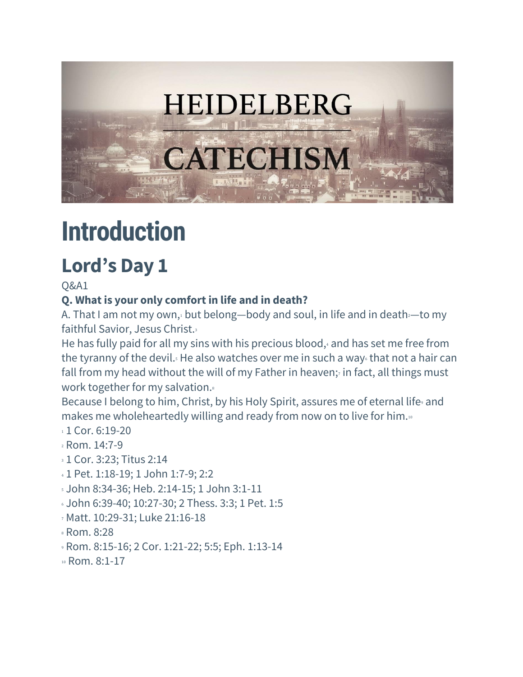

# **Introduction**

# **Lord's Day 1**

Q&A1

# **Q. What is your only comfort in life and in death?**

A. That I am not my own, but belong—body and soul, in life and in death—to my faithful Savior, Jesus Christ.<sup>3</sup>

He has fully paid for all my sins with his precious blood, $4$  and has set me free from the tyranny of the devil. $s$  He also watches over me in such a way $\epsilon$  that not a hair can fall from my head without the will of my Father in heaven;<sup>7</sup> in fact, all things must work together for my salvation.

Because I belong to him, Christ, by his Holy Spirit, assures me of eternal life, and makes me wholeheartedly willing and ready from now on to live for him.<sup>10</sup>

- $1$  Cor. 6:19-20
- <sup>2</sup> Rom. 14:7-9
- **3 1 Cor. 3:23; Titus 2:14**
- <sup>4</sup> 1 Pet. 1:18-19; 1 John 1:7-9; 2:2
- <sup>5</sup> John 8:34-36; Heb. 2:14-15; 1 John 3:1-11
- <sup>6</sup> John 6:39-40; 10:27-30; 2 Thess. 3:3; 1 Pet. 1:5
- <sup>7</sup> Matt. 10:29-31; Luke 21:16-18
- <sup>8</sup> Rom. 8:28
- <sup>9</sup> Rom. 8:15-16; 2 Cor. 1:21-22; 5:5; Eph. 1:13-14
- <sup>10</sup> Rom. 8:1-17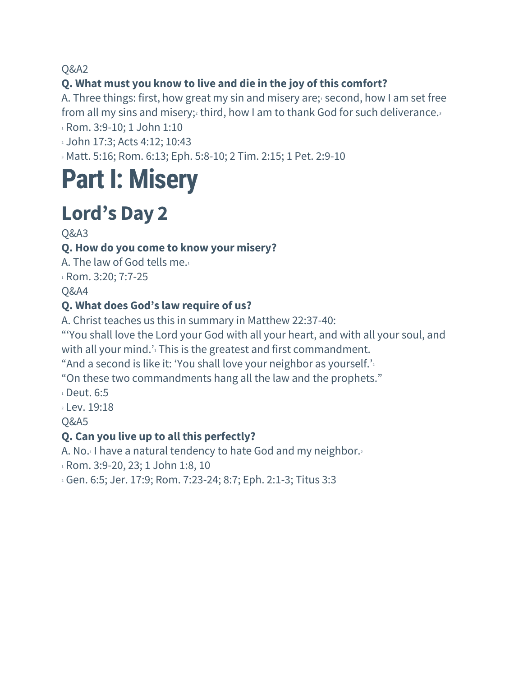## **Q. What must you know to live and die in the joy of this comfort?**

A. Three things: first, how great my sin and misery are; second, how I am set free from all my sins and misery; third, how I am to thank God for such deliverance. $\frac{3}{2}$ 

<sup>1</sup> Rom. 3:9-10; 1 John 1:10

<sup>2</sup> John 17:3; Acts 4:12; 10:43

<sup>3</sup> Matt. 5:16; Rom. 6:13; Eph. 5:8-10; 2 Tim. 2:15; 1 Pet. 2:9-10

# **Part I: Misery**

# **Lord's Day 2**

#### Q&A3

#### **Q. How do you come to know your misery?**

A. The law of God tells me.<sup>1</sup> 1 Rom. 3:20; 7:7-25 Q&A4

#### **Q. What does God's law require of us?**

A. Christ teaches us this in summary in Matthew 22:37-40:

"'You shall love the Lord your God with all your heart, and with all your soul, and with all your mind.<sup> $1$ </sup> This is the greatest and first commandment.

"And a second is like it: 'You shall love your neighbor as yourself.'

"On these two commandments hang all the law and the prophets."

<sup>1</sup> Deut. 6:5

<sup>2</sup> Lev. 19:18

Q&A5

#### **Q. Can you live up to all this perfectly?**

A. No.<sup>1</sup> I have a natural tendency to hate God and my neighbor.<sup>2</sup>

<sup>1</sup> Rom. 3:9-20, 23; 1 John 1:8, 10

<sup>2</sup> Gen. 6:5; Jer. 17:9; Rom. 7:23-24; 8:7; Eph. 2:1-3; Titus 3:3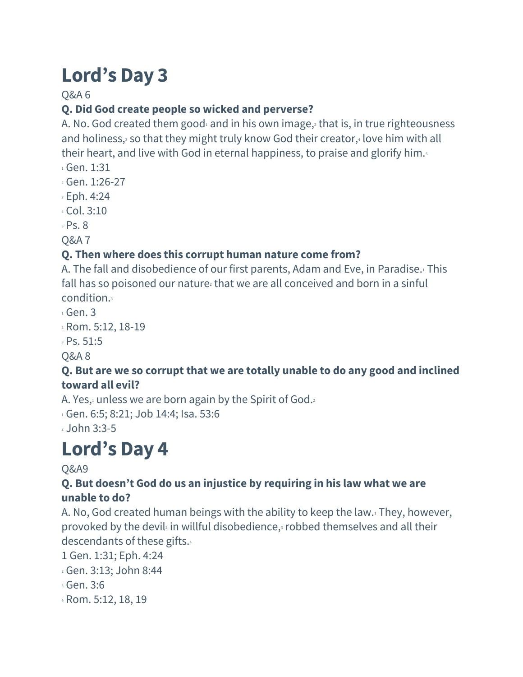## Q&A 6

## **Q. Did God create people so wicked and perverse?**

A. No. God created them good $_1$  and in his own image, that is, in true righteousness and holiness, $3$  so that they might truly know God their creator, $4$  love him with all their heart, and live with God in eternal happiness, to praise and glorify him.

- <sup>1</sup> Gen. 1:31
- <sup>2</sup> Gen. 1:26-27
- <sup>3</sup> Eph. 4:24
- <sup>4</sup> Col. 3:10
- <sup>5</sup> Ps. 8
- Q&A 7

#### **Q. Then where does this corrupt human nature come from?**

A. The fall and disobedience of our first parents, Adam and Eve, in Paradise.<sup>1</sup> This fall has so poisoned our nature<sup>2</sup> that we are all conceived and born in a sinful condition.<sup>3</sup>

- $1$  Gen. 3
- <sup>2</sup> Rom. 5:12, 18-19
- <sup>3</sup> Ps. 51:5
- Q&A 8

#### **Q. But are we so corrupt that we are totally unable to do any good and inclined toward all evil?**

A. Yes, unless we are born again by the Spirit of God.

1 Gen. 6:5; 8:21; Job 14:4; Isa. 53:6

<sup>2</sup> John 3:3-5

# **Lord's Day 4**

#### Q&A9

#### **Q. But doesn't God do us an injustice by requiring in his law what we are unable to do?**

A. No, God created human beings with the ability to keep the law.<sup>1</sup> They, however, provoked by the devil<sup> $2$ </sup> in willful disobedience, $3$  robbed themselves and all their descendants of these gifts.<sup>4</sup>

1 Gen. 1:31; Eph. 4:24

- <sup>2</sup> Gen. 3:13; John 8:44
- <sup>3</sup> Gen. 3:6
- <sup>4</sup> Rom. 5:12, 18, 19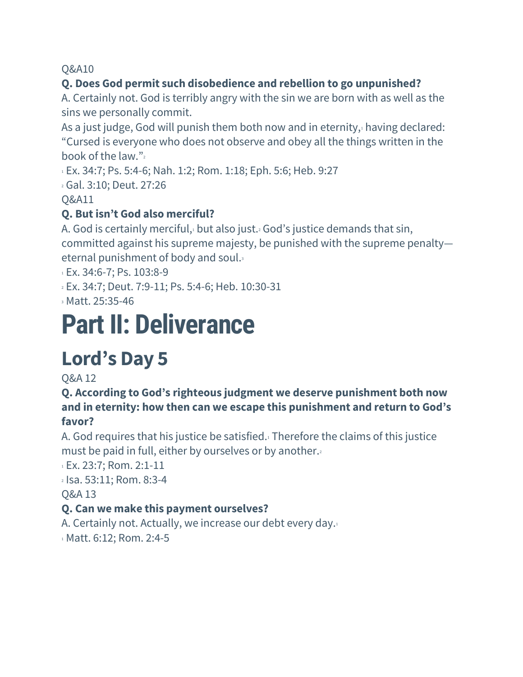#### **Q. Does God permit such disobedience and rebellion to go unpunished?**

A. Certainly not. God is terribly angry with the sin we are born with as well as the sins we personally commit.

As a just judge, God will punish them both now and in eternity, $\frac{1}{2}$  having declared: "Cursed is everyone who does not observe and obey all the things written in the book of the law." $2$ 

<sup>1</sup> Ex. 34:7; Ps. 5:4-6; Nah. 1:2; Rom. 1:18; Eph. 5:6; Heb. 9:27

<sup>2</sup> Gal. 3:10; Deut. 27:26

Q&A11

## **Q. But isn't God also merciful?**

A. God is certainly merciful, but also just. God's justice demands that sin, committed against his supreme majesty, be punished with the supreme penalty eternal punishment of body and soul.<sup>3</sup>

1 Ex. 34:6-7; Ps. 103:8-9

<sup>2</sup> Ex. 34:7; Deut. 7:9-11; Ps. 5:4-6; Heb. 10:30-31

<sup>3</sup> Matt. 25:35-46

# **Part II: Deliverance**

# **Lord's Day 5**

Q&A 12

**Q. According to God's righteous judgment we deserve punishment both now and in eternity: how then can we escape this punishment and return to God's favor?**

A. God requires that his justice be satisfied.<sup>1</sup> Therefore the claims of this justice must be paid in full, either by ourselves or by another.

<sup>1</sup> Ex. 23:7; Rom. 2:1-11

<sup>2</sup> Isa. 53:11; Rom. 8:3-4

Q&A 13

#### **Q. Can we make this payment ourselves?**

A. Certainly not. Actually, we increase our debt every day.

1 Matt. 6:12; Rom. 2:4-5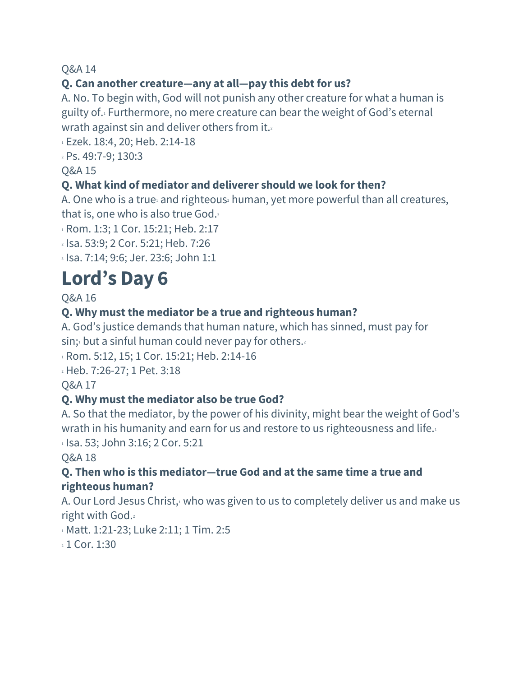#### **Q. Can another creature—any at all—pay this debt for us?**

A. No. To begin with, God will not punish any other creature for what a human is guilty of.<sup>1</sup> Furthermore, no mere creature can bear the weight of God's eternal wrath against sin and deliver others from it.

<sup>1</sup> Ezek. 18:4, 20; Heb. 2:14-18

<sup>2</sup> Ps. 49:7-9; 130:3

#### Q&A 15

#### **Q. What kind of mediator and deliverer should we look forthen?**

A. One who is a true and righteous human, yet more powerful than all creatures, that is, one who is also true God.<sup>3</sup>

<sup>1</sup> Rom. 1:3; 1 Cor. 15:21; Heb. 2:17

<sup>2</sup> Isa. 53:9; 2 Cor. 5:21; Heb. 7:26

<sup>3</sup> Isa. 7:14; 9:6; Jer. 23:6; John 1:1

# **Lord's Day 6**

Q&A 16

#### **Q. Why must the mediator be a true and righteous human?**

A. God's justice demands that human nature, which has sinned, must pay for  $sin; 1$  but a sinful human could never pay for others.

1 Rom. 5:12, 15; 1 Cor. 15:21; Heb. 2:14-16

<sup>2</sup> Heb. 7:26-27; 1 Pet. 3:18

Q&A 17

#### **Q. Why must the mediator also be true God?**

A. So that the mediator, by the power of his divinity, might bear the weight of God's wrath in his humanity and earn for us and restore to us righteousness and life.<sup>1</sup>

 $1$  Isa. 53; John 3:16; 2 Cor. 5:21

Q&A 18

#### **Q. Then who is this mediator—true God and at the same time a true and righteous human?**

A. Our Lord Jesus Christ,<sup>1</sup> who was given to us to completely deliver us and make us right with God.<sup>2</sup>

1 Matt. 1:21-23; Luke 2:11; 1 Tim. 2:5

<sup>2</sup> 1 Cor. 1:30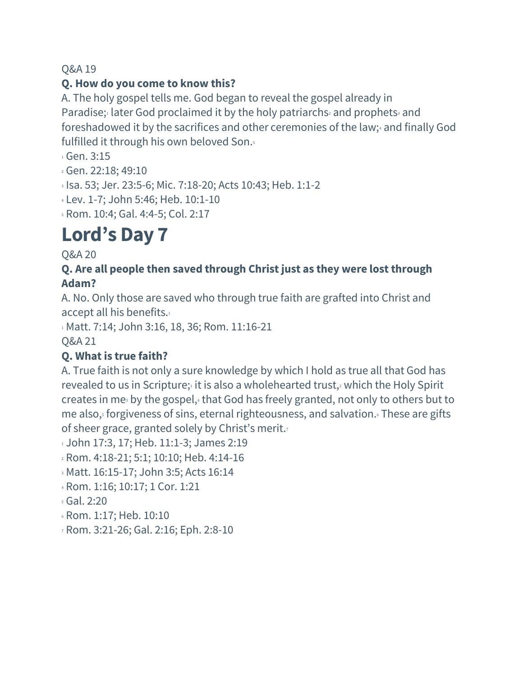#### **Q. How do you come to know this?**

A. The holy gospel tells me. God began to reveal the gospel already in Paradise; later God proclaimed it by the holy patriarchs and prophets and foreshadowed it by the sacrifices and other ceremonies of the law;<sup>4</sup> and finally God fulfilled it through his own beloved Son.<sup>5</sup>

<sup>1</sup> Gen. 3:15

- <sup>2</sup> Gen. 22:18; 49:10
- <sup>3</sup> Isa. 53; Jer. 23:5-6; Mic. 7:18-20; Acts 10:43; Heb. 1:1-2
- <sup>4</sup> Lev. 1-7; John 5:46; Heb. 10:1-10
- <sup>5</sup> Rom. 10:4; Gal. 4:4-5; Col. 2:17

# **Lord's Day 7**

Q&A 20

#### **Q. Are all people then saved through Christ just as they were lost through Adam?**

A. No. Only those are saved who through true faith are grafted into Christ and accept all his benefits.<sup>1</sup>

1 Matt. 7:14; John 3:16, 18, 36; Rom. 11:16-21

Q&A 21

## **Q. What is true faith?**

A. True faith is not only a sure knowledge by which I hold as true all that God has revealed to us in Scripture; it is also a wholehearted trust, $2$  which the Holy Spirit creates in me<sup>3</sup> by the gospel,<sup>4</sup> that God has freely granted, not only to others but to me also, forgiveness of sins, eternal righteousness, and salvation. These are gifts of sheer grace, granted solely by Christ's merit.<sup>7</sup>

1 John 17:3, 17; Heb. 11:1-3; James 2:19

- <sup>2</sup> Rom. 4:18-21; 5:1; 10:10; Heb. 4:14-16
- <sup>3</sup> Matt. 16:15-17; John 3:5; Acts 16:14
- <sup>4</sup> Rom. 1:16; 10:17; 1 Cor. 1:21
- <sup>5</sup> Gal. 2:20
- <sup>6</sup> Rom. 1:17; Heb. 10:10
- <sup>7</sup> Rom. 3:21-26; Gal. 2:16; Eph. 2:8-10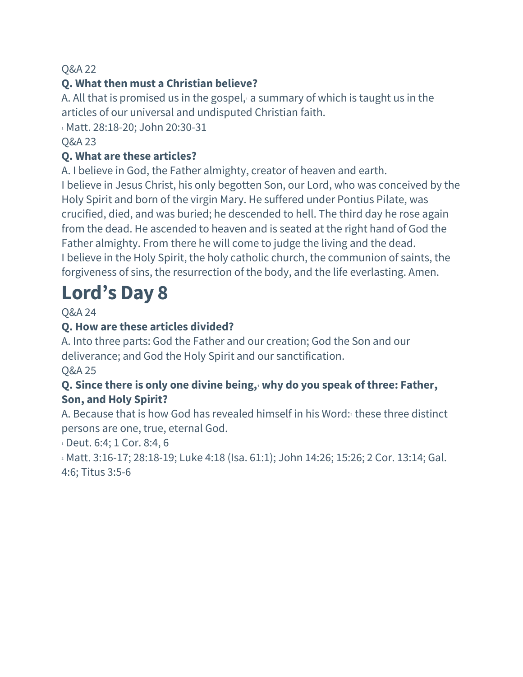#### **Q. What then must a Christian believe?**

A. All that is promised us in the gospel, a summary of which is taught us in the articles of our universal and undisputed Christian faith.

1 Matt. 28:18-20; John 20:30-31

#### Q&A 23

#### **Q. What are these articles?**

A. I believe in God, the Father almighty, creator of heaven and earth.

I believe in Jesus Christ, his only begotten Son, our Lord, who was conceived by the Holy Spirit and born of the virgin Mary. He suffered under Pontius Pilate, was crucified, died, and was buried; he descended to hell. The third day he rose again from the dead. He ascended to heaven and is seated at the right hand of God the Father almighty. From there he will come to judge the living and the dead. I believe in the Holy Spirit, the holy catholic church, the communion of saints, the forgiveness of sins, the resurrection of the body, and the life everlasting. Amen.

# **Lord's Day 8**

Q&A 24

## **Q. How are these articles divided?**

A. Into three parts: God the Father and our creation; God the Son and our deliverance; and God the Holy Spirit and our sanctification.

Q&A 25

#### **Q. Since there is only one divine being,<sup>1</sup> why do you speak of three: Father, Son, and Holy Spirit?**

A. Because that is how God has revealed himself in his Word: these three distinct persons are one, true, eternal God.

<sup>1</sup> Deut. 6:4; 1 Cor. 8:4, 6

<sup>2</sup> Matt. 3:16-17; 28:18-19; Luke 4:18 (Isa. 61:1); John 14:26; 15:26; 2 Cor. 13:14; Gal. 4:6; Titus 3:5-6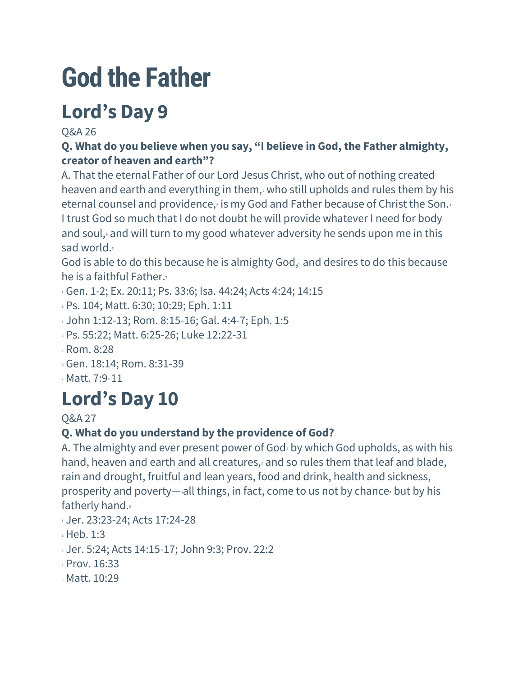# **God the Father**

# **Lord's Day 9**

Q&A 26

## **Q. What do you believe when you say, "I believe in God, the Father almighty, creator of heaven and earth"?**

A. That the eternal Father of our Lord Jesus Christ, who out of nothing created heaven and earth and everything in them, who still upholds and rules them by his eternal counsel and providence, is my God and Father because of Christ the Son. I trust God so much that I do not doubt he will provide whatever I need for body and soul,<sup>4</sup> and will turn to my good whatever adversity he sends upon me in this sad world.

God is able to do this because he is almighty God, and desires to do this because he is a faithful Father.

- <sup>1</sup> Gen. 1-2; Ex. 20:11; Ps. 33:6; Isa. 44:24; Acts 4:24; 14:15
- <sup>2</sup> Ps. 104; Matt. 6:30; 10:29; Eph. 1:11
- <sup>3</sup> John 1:12-13; Rom. 8:15-16; Gal. 4:4-7; Eph. 1:5
- <sup>4</sup> Ps. 55:22; Matt. 6:25-26; Luke 12:22-31
- <sup>5</sup> Rom. 8:28
- <sup>6</sup> Gen. 18:14; Rom. 8:31-39
- <sup>7</sup> Matt. 7:9-11

# **Lord's Day 10**

Q&A 27

# **Q. What do you understand by the providence of God?**

A. The almighty and ever present power of God $_1$  by which God upholds, as with his hand, heaven and earth and all creatures, and so rules them that leaf and blade, rain and drought, fruitful and lean years, food and drink, health and sickness, prosperity and poverty—all things, in fact, come to us not by chance but by his fatherly hand.

- 1 Jer. 23:23-24; Acts 17:24-28
- <sup>2</sup> Heb. 1:3
- <sup>3</sup> Jer. 5:24; Acts 14:15-17; John 9:3; Prov. 22:2
- <sup>4</sup> Prov. 16:33
- <sup>5</sup> Matt. 10:29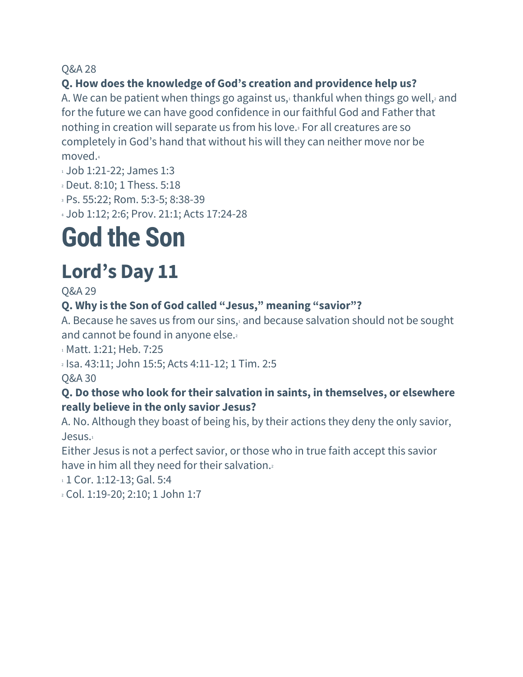#### **Q. How does the knowledge of God's creation and providence help us?**

A. We can be patient when things go against us, $\iota$  thankful when things go well, and for the future we can have good confidence in our faithful God and Father that nothing in creation will separate us from his love.<sup>3</sup> For all creatures are so completely in God's hand that without his will they can neither move nor be moved.<sup>4</sup>

- 1 Job 1:21-22; James 1:3
- <sup>2</sup> Deut. 8:10; 1 Thess. 5:18
- <sup>3</sup> Ps. 55:22; Rom. 5:3-5; 8:38-39
- <sup>4</sup> Job 1:12; 2:6; Prov. 21:1; Acts 17:24-28

# **God the Son**

# **Lord's Day 11**

Q&A 29

#### **Q. Why is the Son of God called "Jesus," meaning "savior"?**

A. Because he saves us from our sins, and because salvation should not be sought and cannot be found in anyone else.

<sup>1</sup> Matt. 1:21; Heb. 7:25

<sup>2</sup> Isa. 43:11; John 15:5; Acts 4:11-12; 1 Tim. 2:5

Q&A 30

#### **Q. Do those who look fortheir salvation in saints, in themselves, or elsewhere really believe in the only savior Jesus?**

A. No. Although they boast of being his, by their actions they deny the only savior, Jesus.<sup>1</sup>

Either Jesus is not a perfect savior, or those who in true faith accept this savior have in him all they need for their salvation.

1 1 Cor. 1:12-13; Gal. 5:4

<sup>2</sup> Col. 1:19-20; 2:10; 1 John 1:7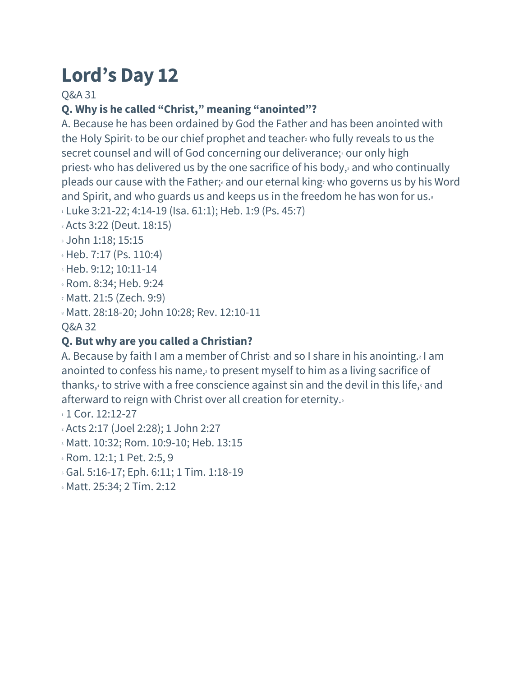Q&A 31

## **Q. Why is he called "Christ," meaning "anointed"?**

A. Because he has been ordained by God the Father and has been anointed with the Holy Spirit to be our chief prophet and teacher who fully reveals to us the secret counsel and will of God concerning our deliverance;<sup>3</sup> our only high priest who has delivered us by the one sacrifice of his body, and who continually pleads our cause with the Father; and our eternal king who governs us by his Word and Spirit, and who guards us and keeps us in the freedom he has won for us. $\frac{1}{8}$ 

- $1$  Luke 3:21-22; 4:14-19 (Isa. 61:1); Heb. 1:9 (Ps. 45:7)
- <sup>2</sup> Acts 3:22 (Deut. 18:15)
- <sup>3</sup> John 1:18; 15:15
- <sup>4</sup> Heb. 7:17 (Ps. 110:4)
- <sup>5</sup> Heb. 9:12; 10:11-14
- <sup>6</sup> Rom. 8:34; Heb. 9:24
- <sup>7</sup> Matt. 21:5 (Zech. 9:9)
- <sup>8</sup> Matt. 28:18-20; John 10:28; Rev. 12:10-11

Q&A 32

## **Q. But why are you called a Christian?**

A. Because by faith I am a member of Christ and so I share in his anointing. I am anointed to confess his name, $_3$  to present myself to him as a living sacrifice of thanks, $4$  to strive with a free conscience against sin and the devil in this life, $5$  and afterward to reign with Christ over all creation for eternity.

- 1 1 Cor. 12:12-27
- <sup>2</sup> Acts 2:17 (Joel 2:28); 1 John 2:27
- <sup>3</sup> Matt. 10:32; Rom. 10:9-10; Heb. 13:15
- <sup>4</sup> Rom. 12:1; 1 Pet. 2:5, 9
- <sup>5</sup> Gal. 5:16-17; Eph. 6:11; 1 Tim. 1:18-19
- <sup>6</sup> Matt. 25:34; 2 Tim. 2:12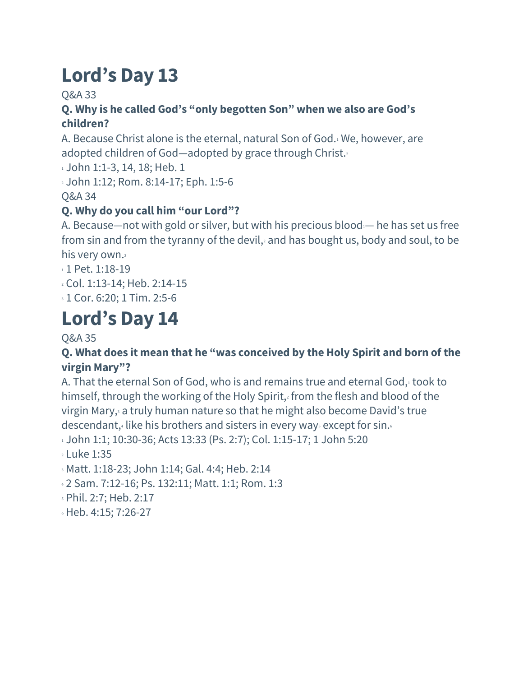### Q&A 33

#### **Q. Why is he called God's "only begotten Son" when we also are God's children?**

A. Because Christ alone is the eternal, natural Son of God.<sup>1</sup> We, however, are adopted children of God—adopted by grace through Christ.

 $\frac{1}{1}$  John 1:1-3, 14, 18; Heb. 1

<sup>2</sup> John 1:12; Rom. 8:14-17; Eph. 1:5-6

Q&A 34

### **Q. Why do you call him "our Lord"?**

A. Because—not with gold or silver, but with his precious blood $-$  he has set us free from sin and from the tyranny of the devil,<sup>2</sup> and has bought us, body and soul, to be his very own.<sup>3</sup>

 $11$  Pet. 1:18-19

<sup>2</sup> Col. 1:13-14; Heb. 2:14-15

<sup>3</sup> 1 Cor. 6:20; 1 Tim. 2:5-6

# **Lord's Day 14**

#### Q&A 35

#### **Q. What does it mean that he "was conceived by the Holy Spirit and born of the virgin Mary"?**

A. That the eternal Son of God, who is and remains true and eternal God, took to himself, through the working of the Holy Spirit, from the flesh and blood of the virgin Mary,<sup>3</sup> a truly human nature so that he might also become David's true descendant, $\frac{1}{2}$  like his brothers and sisters in every ways except for sin.

 $1.1$ ; 10:30-36; Acts 13:33 (Ps. 2:7); Col. 1:15-17; 1 John 5:20

 $2$  Luke 1:35

<sup>3</sup> Matt. 1:18-23; John 1:14; Gal. 4:4; Heb. 2:14

<sup>4</sup> 2 Sam. 7:12-16; Ps. 132:11; Matt. 1:1; Rom. 1:3

<sup>5</sup> Phil. 2:7; Heb. 2:17

<sup>6</sup> Heb. 4:15; 7:26-27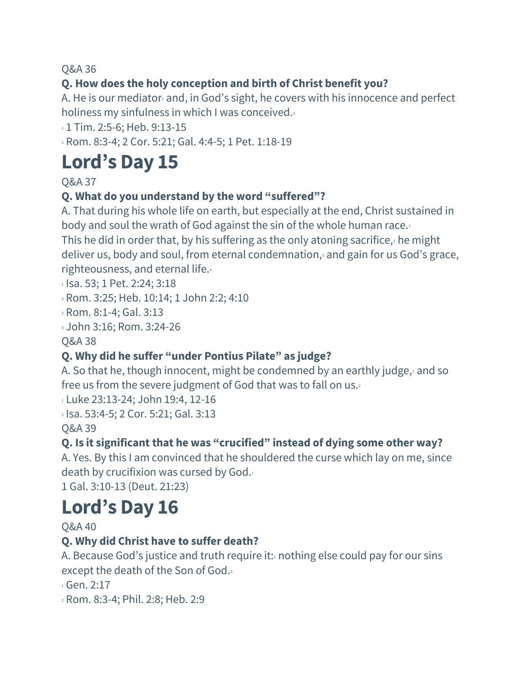## **Q. How does the holy conception and birth of Christ benefit you?**

A. He is our mediator $\frac{1}{2}$  and, in God's sight, he covers with his innocence and perfect holiness my sinfulness in which I was conceived.

1 1 Tim. 2:5-6; Heb. 9:13-15

<sup>2</sup> Rom. 8:3-4; 2 Cor. 5:21; Gal. 4:4-5; 1 Pet. 1:18-19

# **Lord's Day 15**

Q&A 37

### **Q. What do you understand by the word "suffered"?**

A. That during his whole life on earth, but especially at the end, Christ sustained in body and soul the wrath of God against the sin of the whole human race.<sup>1</sup>

This he did in order that, by his suffering as the only atoning sacrifice, $2$  he might deliver us, body and soul, from eternal condemnation,<sup>3</sup> and gain for us God's grace, righteousness, and eternal life.<sup>4</sup>

<sup>1</sup> Isa. 53; 1 Pet. 2:24; 3:18

<sup>2</sup> Rom. 3:25; Heb. 10:14; 1 John 2:2; 4:10

<sup>3</sup> Rom. 8:1-4; Gal. 3:13

<sup>4</sup> John 3:16; Rom. 3:24-26

Q&A 38

## **Q. Why did he suffer "under Pontius Pilate" as judge?**

A. So that he, though innocent, might be condemned by an earthly judge, $\frac{1}{2}$  and so free us from the severe judgment of God that was to fall on us.<sup>2</sup>

1 Luke 23:13-24; John 19:4, 12-16

<sup>2</sup> Isa. 53:4-5; 2 Cor. 5:21; Gal. 3:13 Q&A 39

#### **Q. Is it significant that he was "crucified" instead of dying some other way?**

A. Yes. By this I am convinced that he shouldered the curse which lay on me, since death by crucifixion was cursed by God.<sup>1</sup>

1 Gal. 3:10-13 (Deut. 21:23)

# **Lord's Day 16**

Q&A 40

#### **Q. Why did Christ have to suffer death?**

A. Because God's justice and truth require it: $\cdot$  nothing else could pay for our sins except the death of the Son of God.<sup>2</sup>

<sup>1</sup> Gen. 2:17

<sup>2</sup> Rom. 8:3-4; Phil. 2:8; Heb. 2:9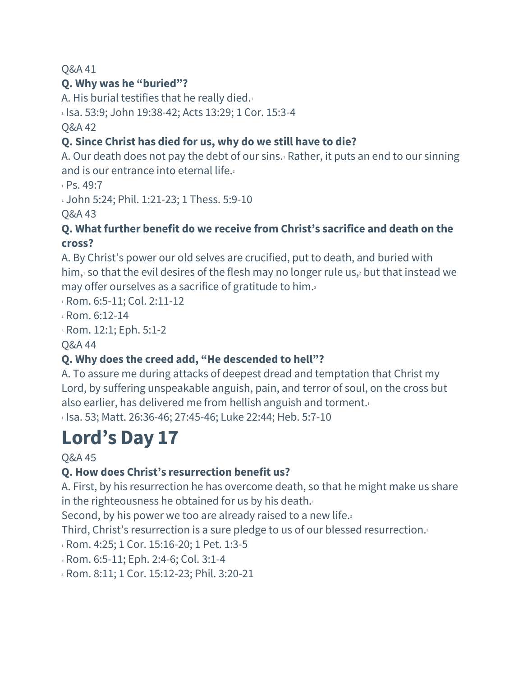## **Q. Why was he "buried"?**

A. His burial testifies that he really died. $1$ 

1 Isa. 53:9; John 19:38-42; Acts 13:29; 1 Cor. 15:3-4

Q&A 42

#### **Q. Since Christ has died for us, why do we still have to die?**

A. Our death does not pay the debt of our sins.<sup>1</sup> Rather, it puts an end to our sinning and is our entrance into eternal life.<sup>2</sup>

 $1 PS. 49:7$ 

<sup>2</sup> John 5:24; Phil. 1:21-23; 1 Thess. 5:9-10

Q&A 43

#### **Q. What further benefit do we receive from Christ's sacrifice and death on the cross?**

A. By Christ's power our old selves are crucified, put to death, and buried with him, $1$  so that the evil desires of the flesh may no longer rule us, $2$  but that instead we may offer ourselves as a sacrifice of gratitude to him.<sup>3</sup>

1 Rom. 6:5-11; Col. 2:11-12

<sup>2</sup> Rom. 6:12-14

<sup>3</sup> Rom. 12:1; Eph. 5:1-2

Q&A 44

## **Q. Why does the creed add, "He descended to hell"?**

A. To assure me during attacks of deepest dread and temptation that Christ my Lord, by suffering unspeakable anguish, pain, and terror of soul, on the cross but also earlier, has delivered me from hellish anguish and torment. $1$ 

<sup>1</sup> Isa. 53; Matt. 26:36-46; 27:45-46; Luke 22:44; Heb. 5:7-10

# **Lord's Day 17**

Q&A 45

## **Q. How does Christ's resurrection benefit us?**

A. First, by his resurrection he has overcome death, so that he might make us share in the righteousness he obtained for us by his death. $1$ 

Second, by his power we too are already raised to a new life.

Third, Christ's resurrection is a sure pledge to us of our blessed resurrection.<sup>3</sup>

1 Rom. 4:25; 1 Cor. 15:16-20; 1 Pet. 1:3-5

<sup>2</sup> Rom. 6:5-11; Eph. 2:4-6; Col. 3:1-4

<sup>3</sup> Rom. 8:11; 1 Cor. 15:12-23; Phil. 3:20-21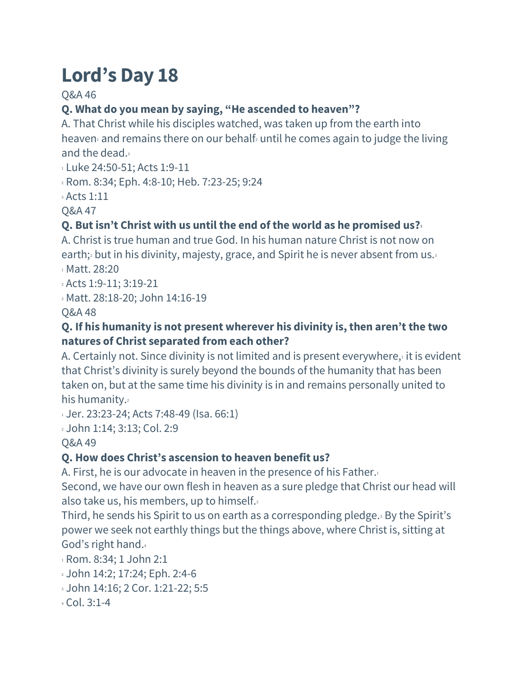Q&A 46

## **Q. What do you mean by saying, "He ascended to heaven"?**

A. That Christ while his disciples watched, was taken up from the earth into heaven and remains there on our behalf until he comes again to judge the living and the dead.<sup>3</sup>

<sup>1</sup> Luke 24:50-51; Acts 1:9-11

<sup>2</sup> Rom. 8:34; Eph. 4:8-10; Heb. 7:23-25; 9:24

<sup>3</sup> Acts 1:11

Q&A 47

## **Q. But isn't Christ with us until the end of the world as he promised us?<sup>1</sup>**

A. Christ is true human and true God. In his human nature Christ is not now on earth;<sup>2</sup> but in his divinity, majesty, grace, and Spirit he is never absent from us.<sup>3</sup> <sup>1</sup> Matt. 28:20

<sup>2</sup> Acts 1:9-11; 3:19-21

<sup>3</sup> Matt. 28:18-20; John 14:16-19

Q&A 48

#### **Q. If his humanity is not present wherever his divinity is, then aren't the two natures of Christ separated from each other?**

A. Certainly not. Since divinity is not limited and is present everywhere, $\cdot$  it is evident that Christ's divinity is surely beyond the bounds of the humanity that has been taken on, but at the same time his divinity is in and remains personally united to his humanity.

1 Jer. 23:23-24; Acts 7:48-49 (Isa. 66:1)

<sup>2</sup> John 1:14; 3:13; Col. 2:9

Q&A 49

## **Q. How does Christ's ascension to heaven benefit us?**

A. First, he is our advocate in heaven in the presence of his Father.

Second, we have our own flesh in heaven as a sure pledge that Christ our head will also take us, his members, up to himself.

Third, he sends his Spirit to us on earth as a corresponding pledge.<sup>3</sup> By the Spirit's power we seek not earthly things but the things above, where Christ is, sitting at God's right hand.<sup>4</sup>

<sup>1</sup> Rom. 8:34; 1 John 2:1

- <sup>2</sup> John 14:2; 17:24; Eph. 2:4-6
- <sup>3</sup> John 14:16; 2 Cor. 1:21-22; 5:5
- <sup>4</sup> Col. 3:1-4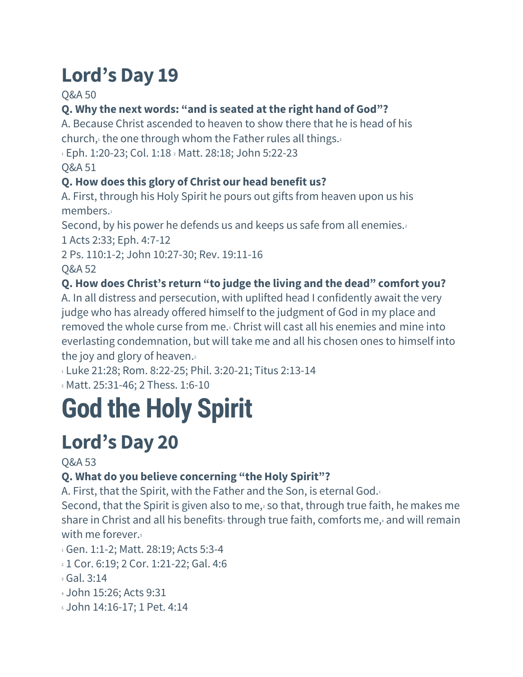Q&A 50

# **Q. Why the next words: "and is seated at the right hand of God"?**

A. Because Christ ascended to heaven to show there that he is head of his church, $\frac{1}{2}$  the one through whom the Father rules all things.

<sup>1</sup> Eph. 1:20-23; Col. 1:18 <sup>2</sup> Matt. 28:18; John 5:22-23

Q&A 51

## **Q. How does this glory of Christ our head benefit us?**

A. First, through his Holy Spirit he pours out gifts from heaven upon us his members.

Second, by his power he defends us and keeps us safe from all enemies.

1 Acts 2:33; Eph. 4:7-12

2 Ps. 110:1-2; John 10:27-30; Rev. 19:11-16

Q&A 52

## **Q. How does Christ's return "to judge the living and the dead" comfort you?**

A. In all distress and persecution, with uplifted head I confidently await the very judge who has already offered himself to the judgment of God in my place and removed the whole curse from me.<sup>1</sup> Christ will cast all his enemies and mine into everlasting condemnation, but will take me and all his chosen ones to himself into the joy and glory of heaven. $2$ 

1 Luke 21:28; Rom. 8:22-25; Phil. 3:20-21; Titus 2:13-14

<sup>2</sup> Matt. 25:31-46; 2 Thess. 1:6-10

# **God the Holy Spirit**

# **Lord's Day 20**

Q&A 53

# **Q. What do you believe concerning "the Holy Spirit"?**

A. First, that the Spirit, with the Father and the Son, is eternal God.<sup>1</sup>

Second, that the Spirit is given also to me, $2$  so that, through true faith, he makes me share in Christ and all his benefits through true faith, comforts me, and will remain with me forever.<sup>5</sup>

- 1 Gen. 1:1-2; Matt. 28:19; Acts 5:3-4
- <sup>2</sup> 1 Cor. 6:19; 2 Cor. 1:21-22; Gal. 4:6
- <sup>3</sup> Gal. 3:14
- <sup>4</sup> John 15:26; Acts 9:31
- <sup>5</sup> John 14:16-17; 1 Pet. 4:14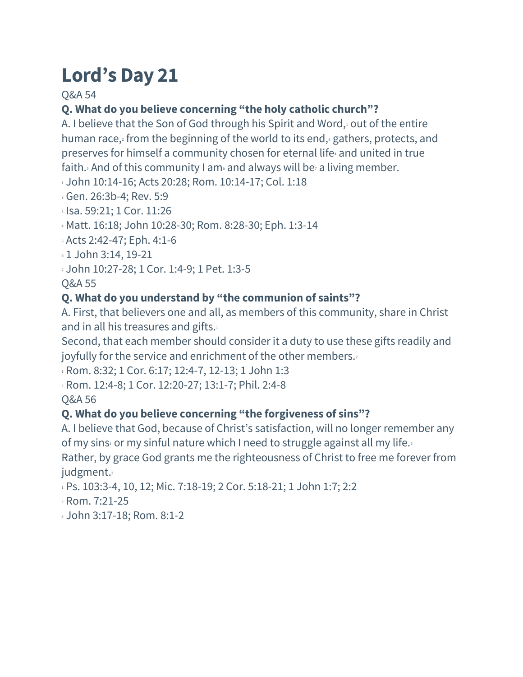Q&A 54

# **Q. What do you believe concerning "the holy catholic church"?**

A. I believe that the Son of God through his Spirit and Word, $1$  out of the entire human race,<sup>2</sup> from the beginning of the world to its end,<sup>3</sup> gathers, protects, and preserves for himself a community chosen for eternal life<sub>4</sub> and united in true faith.<sup>5</sup> And of this community I am<sup>6</sup> and always will be<sub>7</sub> a living member.

1 John 10:14-16; Acts 20:28; Rom. 10:14-17; Col. 1:18

<sup>2</sup> Gen. 26:3b-4; Rev. 5:9

<sup>3</sup> Isa. 59:21; 1 Cor. 11:26

<sup>4</sup> Matt. 16:18; John 10:28-30; Rom. 8:28-30; Eph. 1:3-14

<sup>5</sup> Acts 2:42-47; Eph. 4:1-6

<sup>6</sup> 1 John 3:14, 19-21

<sup>7</sup> John 10:27-28; 1 Cor. 1:4-9; 1 Pet. 1:3-5

Q&A 55

#### **Q. What do you understand by "the communion of saints"?**

A. First, that believers one and all, as members of this community, share in Christ and in all his treasures and gifts.<sup>1</sup>

Second, that each member should consider it a duty to use these gifts readily and joyfully for the service and enrichment of the other members.

1 Rom. 8:32; 1 Cor. 6:17; 12:4-7, 12-13; 1 John 1:3

<sup>2</sup> Rom. 12:4-8; 1 Cor. 12:20-27; 13:1-7; Phil. 2:4-8

Q&A 56

## **Q. What do you believe concerning "the forgiveness of sins"?**

A. I believe that God, because of Christ's satisfaction, will no longer remember any of my sins<sup>1</sup> or my sinful nature which I need to struggle against all my life.<sup>2</sup>

Rather, by grace God grants me the righteousness of Christ to free me forever from judgment.<sup>3</sup>

1 Ps. 103:3-4, 10, 12; Mic. 7:18-19; 2 Cor. 5:18-21; 1 John 1:7; 2:2

<sup>2</sup> Rom. 7:21-25

<sup>3</sup> John 3:17-18; Rom. 8:1-2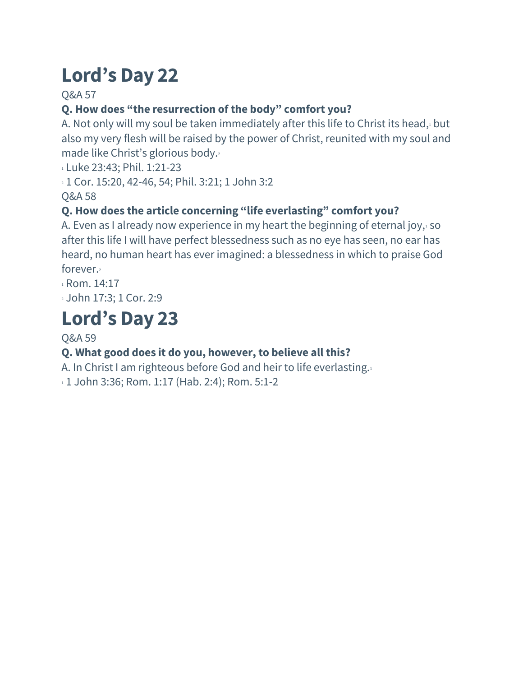Q&A 57

# **Q. How does "the resurrection of the body" comfort you?**

A. Not only will my soul be taken immediately after this life to Christ its head, $1$  but also my very flesh will be raised by the power of Christ, reunited with my soul and made like Christ's glorious body.<sup>2</sup>

<sup>1</sup> Luke 23:43; Phil. 1:21-23

<sup>2</sup> 1 Cor. 15:20, 42-46, 54; Phil. 3:21; 1 John 3:2

Q&A 58

## **Q. How does the article concerning "life everlasting" comfort you?**

A. Even as I already now experience in my heart the beginning of eternal joy, $1$  so after this life I will have perfect blessedness such as no eye has seen, no ear has heard, no human heart has ever imagined: a blessedness in which to praise God forever.<sup>2</sup>

1 Rom. 14:17

<sup>2</sup> John 17:3; 1 Cor. 2:9

# **Lord's Day 23**

#### Q&A 59

## **Q. What good does it do you, however, to believe all this?**

A. In Christ I am righteous before God and heir to life everlasting.<sup>1</sup> 1 John 3:36; Rom. 1:17 (Hab. 2:4); Rom. 5:1-2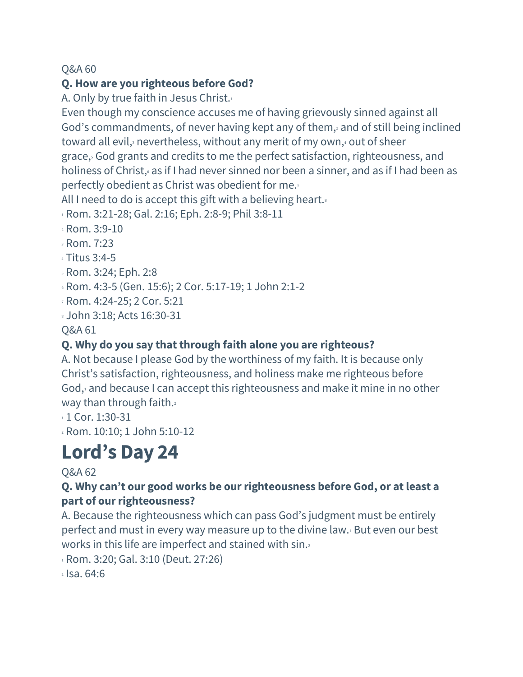#### **Q. How are you righteous before God?**

A. Only by true faith in Jesus Christ.<sup>1</sup>

Even though my conscience accuses me of having grievously sinned against all God's commandments, of never having kept any of them,<sup>2</sup> and of still being inclined toward all evil, $\frac{3}{2}$  nevertheless, without any merit of my own, $\frac{3}{4}$  out of sheer grace,<sup>5</sup> God grants and credits to me the perfect satisfaction, righteousness, and holiness of Christ, as if I had never sinned nor been a sinner, and as if I had been as perfectly obedient as Christ was obedient for me.<sup>7</sup>

All I need to do is accept this gift with a believing heart.

<sup>1</sup> Rom. 3:21-28; Gal. 2:16; Eph. 2:8-9; Phil 3:8-11

- <sup>2</sup> Rom. 3:9-10
- <sup>3</sup> Rom. 7:23
- <sup>4</sup> Titus 3:4-5
- <sup>5</sup> Rom. 3:24; Eph. 2:8
- <sup>6</sup> Rom. 4:3-5 (Gen. 15:6); 2 Cor. 5:17-19; 1 John 2:1-2
- <sup>7</sup> Rom. 4:24-25; 2 Cor. 5:21
- <sup>8</sup> John 3:18; Acts 16:30-31

Q&A 61

## **Q. Why do you say that through faith alone you are righteous?**

A. Not because I please God by the worthiness of my faith. It is because only Christ's satisfaction, righteousness, and holiness make me righteous before God,<sup>1</sup> and because I can accept this righteousness and make it mine in no other way than through faith.

 $11$  Cor. 1:30-31

<sup>2</sup> Rom. 10:10; 1 John 5:10-12

# **Lord's Day 24**

#### Q&A 62

#### **Q. Why can't our good works be our righteousness before God, or at least a part of our righteousness?**

A. Because the righteousness which can pass God's judgment must be entirely perfect and must in every way measure up to the divine law.<sup>1</sup> But even our best works in this life are imperfect and stained with sin.

<sup>1</sup> Rom. 3:20; Gal. 3:10 (Deut. 27:26)

 $2$  Isa. 64:6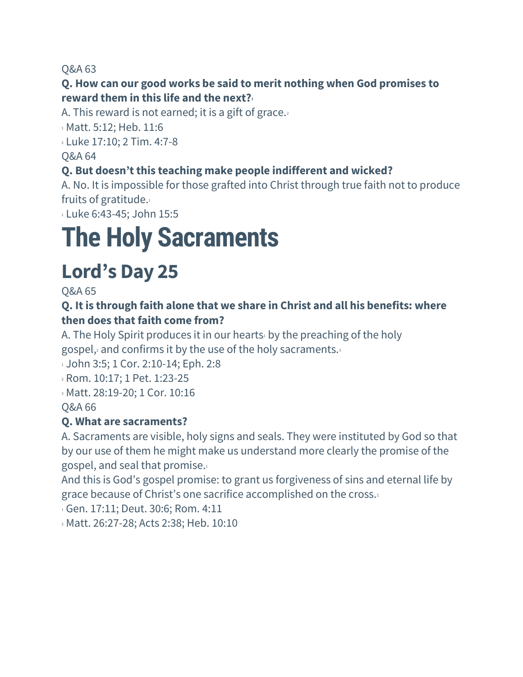#### **Q. How can our good works be said to merit nothing when God promises to reward them in this life and the next?<sup>1</sup>**

A. This reward is not earned; it is a gift of grace.

1 Matt. 5:12; Heb. 11:6 <sup>2</sup> Luke 17:10; 2 Tim. 4:7-8

Q&A 64

### **Q. But doesn't this teaching make people indifferent and wicked?**

A. No. It is impossible for those grafted into Christ through true faith not to produce fruits of gratitude.<sup>1</sup>

<sup>1</sup> Luke 6:43-45; John 15:5

# **The Holy Sacraments**

# **Lord's Day 25**

Q&A 65

#### **Q. It is through faith alone that we share in Christ and all his benefits: where then does that faith come from?**

A. The Holy Spirit produces it in our hearts by the preaching of the holy gospel,<sup>2</sup> and confirms it by the use of the holy sacraments.<sup>3</sup>

1 John 3:5; 1 Cor. 2:10-14; Eph. 2:8

<sup>2</sup> Rom. 10:17; 1 Pet. 1:23-25

<sup>3</sup> Matt. 28:19-20; 1 Cor. 10:16

Q&A 66

#### **Q. What are sacraments?**

A. Sacraments are visible, holy signs and seals. They were instituted by God so that by our use of them he might make us understand more clearly the promise of the gospel, and seal that promise.<sup>1</sup>

And this is God's gospel promise: to grant us forgiveness of sins and eternal life by grace because of Christ's one sacrifice accomplished on the cross.<sup>2</sup>

1 Gen. 17:11; Deut. 30:6; Rom. 4:11

<sup>2</sup> Matt. 26:27-28; Acts 2:38; Heb. 10:10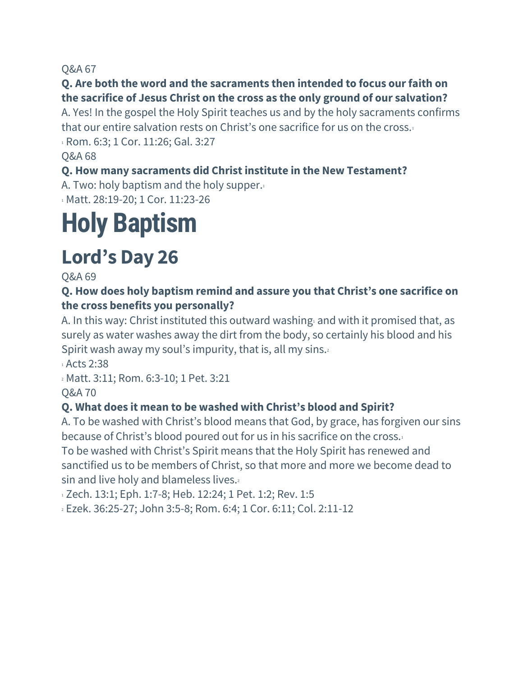#### **Q. Are both the word and the sacraments then intended to focus ourfaith on the sacrifice of Jesus Christ on the cross as the only ground of our salvation?**

A. Yes! In the gospel the Holy Spirit teaches us and by the holy sacraments confirms that our entire salvation rests on Christ's one sacrifice for us on the cross.<sup>1</sup> <sup>1</sup> Rom. 6:3; 1 Cor. 11:26; Gal. 3:27

Q&A 68

#### **Q. How many sacraments did Christ institute in the New Testament?**

A. Two: holy baptism and the holy supper. $1$ <sup>1</sup> Matt. 28:19-20; 1 Cor. 11:23-26

# **Holy Baptism**

# **Lord's Day 26**

Q&A 69

#### **Q. How does holy baptism remind and assure you that Christ's one sacrifice on the cross benefits you personally?**

A. In this way: Christ instituted this outward washing and with it promised that, as surely as water washes away the dirt from the body, so certainly his blood and his Spirit wash away my soul's impurity, that is, all my sins.<sup>2</sup>

<sup>1</sup> Acts 2:38

<sup>2</sup> Matt. 3:11; Rom. 6:3-10; 1 Pet. 3:21

Q&A 70

## **Q. What does it mean to be washed with Christ's blood and Spirit?**

A. To be washed with Christ's blood means that God, by grace, has forgiven our sins because of Christ's blood poured out for us in his sacrifice on the cross.<sup>1</sup>

To be washed with Christ's Spirit means that the Holy Spirit has renewed and sanctified us to be members of Christ, so that more and more we become dead to sin and live holy and blameless lives.

1 Zech. 13:1; Eph. 1:7-8; Heb. 12:24; 1 Pet. 1:2; Rev. 1:5

<sup>2</sup> Ezek. 36:25-27; John 3:5-8; Rom. 6:4; 1 Cor. 6:11; Col. 2:11-12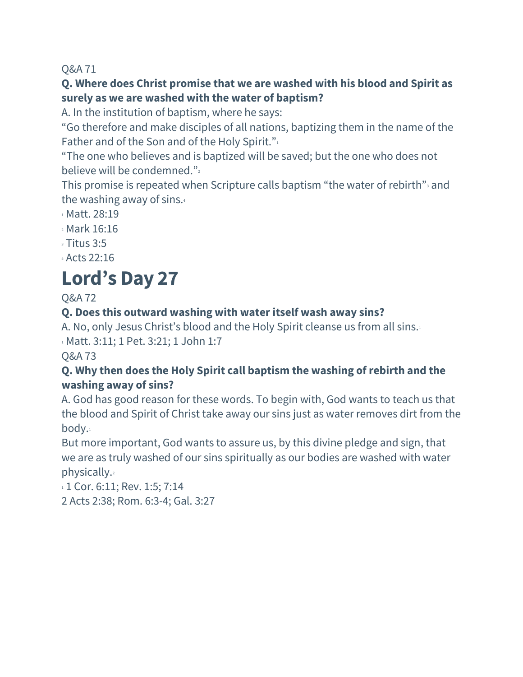#### **Q. Where does Christ promise that we are washed with his blood and Spirit as surely as we are washed with the water of baptism?**

A. In the institution of baptism, where he says:

"Go therefore and make disciples of all nations, baptizing them in the name of the Father and of the Son and of the Holy Spirit."

"The one who believes and is baptized will be saved; but the one who does not believe will be condemned."

This promise is repeated when Scripture calls baptism "the water of rebirth" and the washing away of sins.<sup>4</sup>

- <sup>1</sup> Matt. 28:19
- <sup>2</sup> Mark 16:16
- $3.5$
- <sup>4</sup> Acts 22:16

# **Lord's Day 27**

Q&A 72

#### **Q. Does this outward washing with water itself wash away sins?**

A. No, only Jesus Christ's blood and the Holy Spirit cleanse us from all sins.<sup>1</sup>

1 Matt. 3:11; 1 Pet. 3:21; 1 John 1:7

Q&A 73

#### **Q. Why then does the Holy Spirit call baptism the washing ofrebirth and the washing away of sins?**

A. God has good reason for these words. To begin with, God wants to teach us that the blood and Spirit of Christ take away our sins just as water removes dirt from the body.<sup>1</sup>

But more important, God wants to assure us, by this divine pledge and sign, that we are as truly washed of our sins spiritually as our bodies are washed with water physically.<sup>2</sup>

1 1 Cor. 6:11; Rev. 1:5; 7:14 2 Acts 2:38; Rom. 6:3-4; Gal. 3:27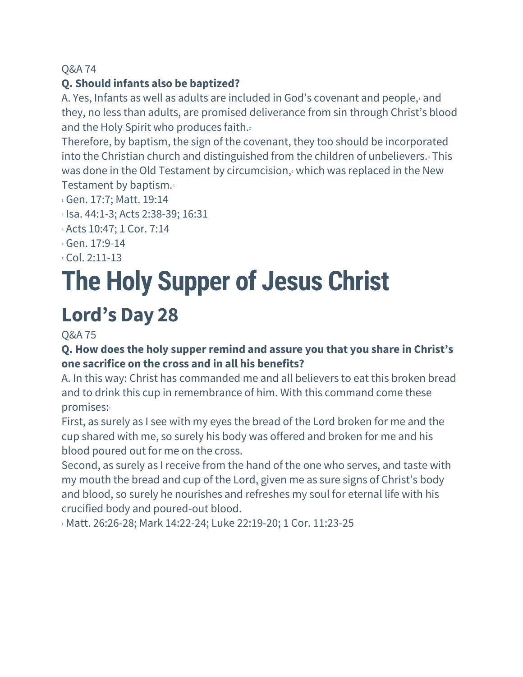#### **Q. Should infants also be baptized?**

A. Yes, Infants as well as adults are included in God's covenant and people, $\iota$  and they, no less than adults, are promised deliverance from sin through Christ's blood and the Holy Spirit who produces faith.<sup>2</sup>

Therefore, by baptism, the sign of the covenant, they too should be incorporated into the Christian church and distinguished from the children of unbelievers.<sup>3</sup> This was done in the Old Testament by circumcision, $\frac{1}{4}$  which was replaced in the New Testament by baptism.<sup>5</sup>

- <sup>1</sup> Gen. 17:7; Matt. 19:14
- <sup>2</sup> Isa. 44:1-3; Acts 2:38-39; 16:31
- <sup>3</sup> Acts 10:47; 1 Cor. 7:14
- <sup>4</sup> Gen. 17:9-14
- <sup>5</sup> Col. 2:11-13

# **The Holy Supper of Jesus Christ**

# **Lord's Day 28**

Q&A 75

#### **Q. How does the holy supperremind and assure you that you share in Christ's one sacrifice on the cross and in all his benefits?**

A. In this way: Christ has commanded me and all believers to eat this broken bread and to drink this cup in remembrance of him. With this command come these promises:

First, as surely as I see with my eyes the bread of the Lord broken for me and the cup shared with me, so surely his body was offered and broken for me and his blood poured out for me on the cross.

Second, as surely as I receive from the hand of the one who serves, and taste with my mouth the bread and cup of the Lord, given me as sure signs of Christ's body and blood, so surely he nourishes and refreshes my soul for eternal life with his crucified body and poured-out blood.

1 Matt. 26:26-28; Mark 14:22-24; Luke 22:19-20; 1 Cor. 11:23-25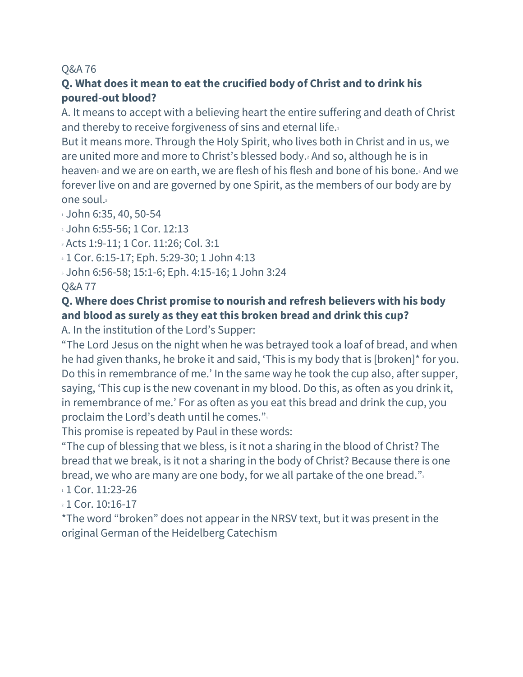#### **Q. What does it mean to eat the crucified body of Christ and to drink his poured-out blood?**

A. It means to accept with a believing heart the entire suffering and death of Christ and thereby to receive forgiveness of sins and eternal life.<sup>1</sup>

But it means more. Through the Holy Spirit, who lives both in Christ and in us, we are united more and more to Christ's blessed body.<sup>2</sup> And so, although he is in heaven<sub>3</sub> and we are on earth, we are flesh of his flesh and bone of his bone.4 And we forever live on and are governed by one Spirit, as the members of our body are by one soul.<sup>5</sup>

 $1$  John 6:35, 40, 50-54

<sup>2</sup> John 6:55-56; 1 Cor. 12:13

<sup>3</sup> Acts 1:9-11; 1 Cor. 11:26; Col. 3:1

<sup>4</sup> 1 Cor. 6:15-17; Eph. 5:29-30; 1 John 4:13

- <sup>5</sup> John 6:56-58; 15:1-6; Eph. 4:15-16; 1 John 3:24
- Q&A 77

#### **Q. Where does Christ promise to nourish and refresh believers with his body and blood as surely as they eat this broken bread and drink this cup?**

A. In the institution of the Lord's Supper:

"The Lord Jesus on the night when he was betrayed took a loaf of bread, and when he had given thanks, he broke it and said, 'This is my body that is [broken]\* for you. Do this in remembrance of me.' In the same way he took the cup also, after supper, saying, 'This cup is the new covenant in my blood. Do this, as often as you drink it, in remembrance of me.' For as often as you eat this bread and drink the cup, you proclaim the Lord's death until he comes."

This promise is repeated by Paul in these words:

"The cup of blessing that we bless, is it not a sharing in the blood of Christ? The bread that we break, is it not a sharing in the body of Christ? Because there is one bread, we who are many are one body, for we all partake of the one bread." $\frac{1}{2}$ 

 $1$  Cor. 11:23-26

2 1 Cor. 10:16-17

\*The word "broken" does not appear in the NRSV text, but it was present in the original German of the Heidelberg Catechism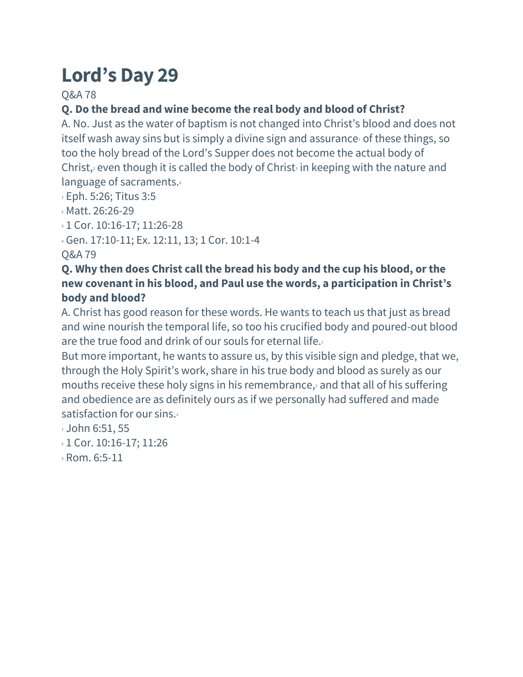Q&A 78

## **Q. Do the bread and wine become the real body and blood of Christ?**

A. No. Just as the water of baptism is not changed into Christ's blood and does not itself wash away sins but is simply a divine sign and assurance of these things, so too the holy bread of the Lord's Supper does not become the actual body of Christ, $2$  even though it is called the body of Christ $3$  in keeping with the nature and language of sacraments.<sup>4</sup>

<sup>1</sup> Eph. 5:26; Titus 3:5

- <sup>2</sup> Matt. 26:26-29
- <sup>3</sup> 1 Cor. 10:16-17; 11:26-28

<sup>4</sup> Gen. 17:10-11; Ex. 12:11, 13; 1 Cor. 10:1-4

Q&A 79

#### **Q. Why then does Christ call the bread his body and the cup his blood, orthe new covenant in his blood, and Paul use the words, a participation in Christ's body and blood?**

A. Christ has good reason for these words. He wants to teach us that just as bread and wine nourish the temporal life, so too his crucified body and poured-out blood are the true food and drink of our souls for eternal life.<sup>1</sup>

But more important, he wants to assure us, by this visible sign and pledge, that we, through the Holy Spirit's work, share in his true body and blood as surely as our mouths receive these holy signs in his remembrance, and that all of his suffering and obedience are as definitely ours as if we personally had suffered and made satisfaction for our sins.<sup>3</sup>

- 1 John 6:51, 55
- <sup>2</sup> 1 Cor. 10:16-17; 11:26
- <sup>3</sup> Rom. 6:5-11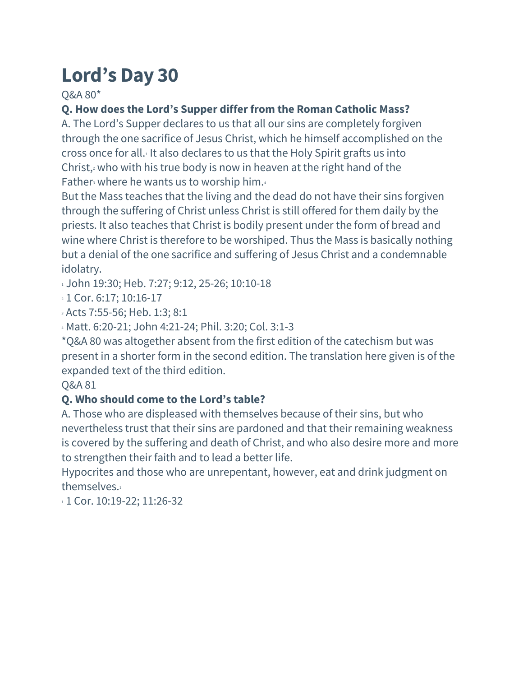Q&A 80\*

## **Q. How does the Lord's Supper differfrom the Roman Catholic Mass?**

A. The Lord's Supper declares to us that all our sins are completely forgiven through the one sacrifice of Jesus Christ, which he himself accomplished on the cross once for all.<sup>1</sup> It also declares to us that the Holy Spirit grafts us into Christ, $2$  who with his true body is now in heaven at the right hand of the Father where he wants us to worship him. $4$ 

But the Mass teaches that the living and the dead do not have their sins forgiven through the suffering of Christ unless Christ is still offered for them daily by the priests. It also teaches that Christ is bodily present under the form of bread and wine where Christ is therefore to be worshiped. Thus the Mass is basically nothing but a denial of the one sacrifice and suffering of Jesus Christ and a condemnable idolatry.

1 John 19:30; Heb. 7:27; 9:12, 25-26; 10:10-18

2 1 Cor. 6:17; 10:16-17

<sup>3</sup> Acts 7:55-56; Heb. 1:3; 8:1

<sup>4</sup> Matt. 6:20-21; John 4:21-24; Phil. 3:20; Col. 3:1-3

\*Q&A 80 was altogether absent from the first edition of the catechism but was present in a shorter form in the second edition. The translation here given is of the expanded text of the third edition.

#### Q&A 81

#### **Q. Who should come to the Lord's table?**

A. Those who are displeased with themselves because of their sins, but who nevertheless trust that their sins are pardoned and that their remaining weakness is covered by the suffering and death of Christ, and who also desire more and more to strengthen their faith and to lead a better life.

Hypocrites and those who are unrepentant, however, eat and drink judgment on themselves.<sup>1</sup>

1 Cor. 10:19-22; 11:26-32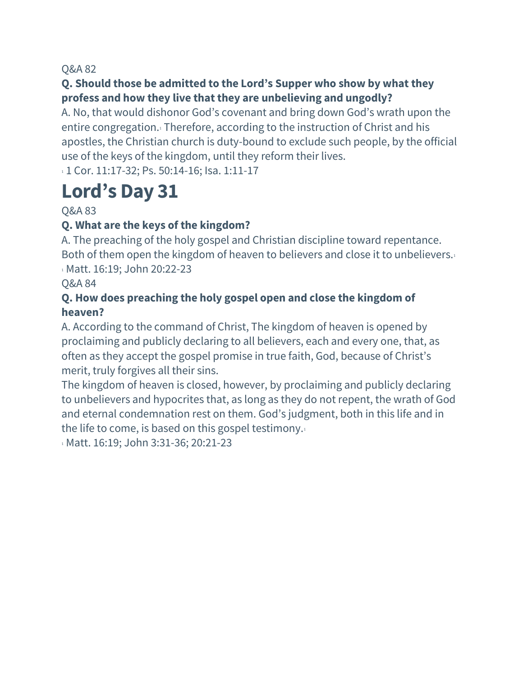#### **Q. Should those be admitted to the Lord's Supper who show by what they profess and how they live that they are unbelieving and ungodly?**

A. No, that would dishonor God's covenant and bring down God's wrath upon the entire congregation.<sup>1</sup> Therefore, according to the instruction of Christ and his apostles, the Christian church is duty-bound to exclude such people, by the official use of the keys of the kingdom, until they reform their lives.

1 1 Cor. 11:17-32; Ps. 50:14-16; Isa. 1:11-17

# **Lord's Day 31**

Q&A 83

### **Q. What are the keys of the kingdom?**

A. The preaching of the holy gospel and Christian discipline toward repentance. Both of them open the kingdom of heaven to believers and close it to unbelievers.<sup>1</sup> 1 Matt. 16:19; John 20:22-23

#### Q&A 84

#### **Q. How does preaching the holy gospel open and close the kingdom of heaven?**

A. According to the command of Christ, The kingdom of heaven is opened by proclaiming and publicly declaring to all believers, each and every one, that, as often as they accept the gospel promise in true faith, God, because of Christ's merit, truly forgives all their sins.

The kingdom of heaven is closed, however, by proclaiming and publicly declaring to unbelievers and hypocrites that, as long as they do not repent, the wrath of God and eternal condemnation rest on them. God's judgment, both in this life and in the life to come, is based on this gospel testimony.<sup>1</sup>

1 Matt. 16:19; John 3:31-36; 20:21-23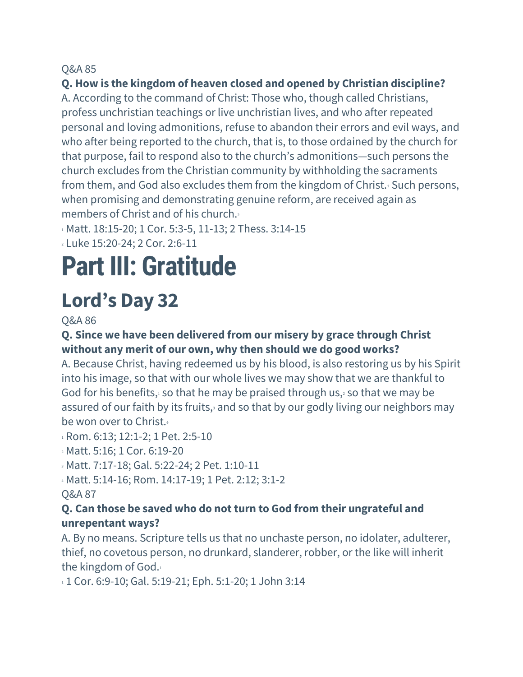#### **Q. How is the kingdom of heaven closed and opened by Christian discipline?**

A. According to the command of Christ: Those who, though called Christians, profess unchristian teachings or live unchristian lives, and who after repeated personal and loving admonitions, refuse to abandon their errors and evil ways, and who after being reported to the church, that is, to those ordained by the church for that purpose, fail to respond also to the church's admonitions—such persons the church excludes from the Christian community by withholding the sacraments from them, and God also excludes them from the kingdom of Christ.<sup>1</sup> Such persons, when promising and demonstrating genuine reform, are received again as members of Christ and of his church.<sup>2</sup>

1 Matt. 18:15-20; 1 Cor. 5:3-5, 11-13; 2 Thess. 3:14-15

<sup>2</sup> Luke 15:20-24; 2 Cor. 2:6-11

# **Part III: Gratitude**

# **Lord's Day 32**

Q&A 86

#### **Q. Since we have been delivered from our misery by grace through Christ without any merit of our own, why then should we do good works?**

A. Because Christ, having redeemed us by his blood, is also restoring us by his Spirit into his image, so that with our whole lives we may show that we are thankful to God for his benefits, so that he may be praised through us, $2$  so that we may be assured of our faith by its fruits, $\frac{3}{2}$  and so that by our godly living our neighbors may be won over to Christ.

1 Rom. 6:13; 12:1-2; 1 Pet. 2:5-10

<sup>2</sup> Matt. 5:16; 1 Cor. 6:19-20

<sup>3</sup> Matt. 7:17-18; Gal. 5:22-24; 2 Pet. 1:10-11

<sup>4</sup> Matt. 5:14-16; Rom. 14:17-19; 1 Pet. 2:12; 3:1-2

#### Q&A 87

#### **Q. Can those be saved who do not turn to God from their ungrateful and unrepentant ways?**

A. By no means. Scripture tells us that no unchaste person, no idolater, adulterer, thief, no covetous person, no drunkard, slanderer, robber, or the like will inherit the kingdom of God.<sup>1</sup>

1 Cor. 6:9-10; Gal. 5:19-21; Eph. 5:1-20; 1 John 3:14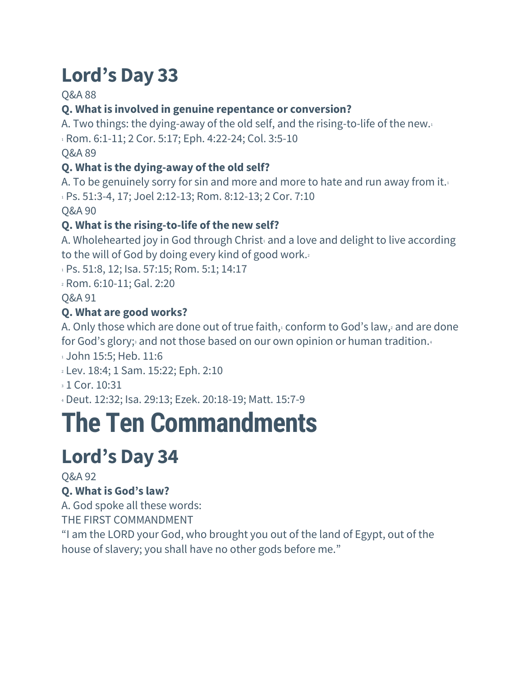## Q&A 88

## **Q. What is involved in genuine repentance or conversion?**

A. Two things: the dying-away of the old self, and the rising-to-life of the new.<sup>1</sup>  $1$  Rom. 6:1-11; 2 Cor. 5:17; Eph. 4:22-24; Col. 3:5-10

Q&A 89

## **Q. What is the dying-away of the old self?**

A. To be genuinely sorry for sin and more and more to hate and run away from it. <sup>1</sup> Ps. 51:3-4, 17; Joel 2:12-13; Rom. 8:12-13; 2 Cor. 7:10 Q&A 90

# **Q. What is the rising-to-life of the new self?**

A. Wholehearted joy in God through Christ and a love and delight to live according to the will of God by doing every kind of good work.<sup>2</sup>

1 Ps. 51:8, 12; Isa. 57:15; Rom. 5:1; 14:17

<sup>2</sup> Rom. 6:10-11; Gal. 2:20

Q&A 91

## **Q. What are good works?**

A. Only those which are done out of true faith, $\frac{1}{2}$  conform to God's law, $\frac{1}{2}$  and are done for God's glory; and not those based on our own opinion or human tradition.

1 John 15:5; Heb. 11:6

- <sup>2</sup> Lev. 18:4; 1 Sam. 15:22; Eph. 2:10
- **3 1 Cor. 10:31**

<sup>4</sup> Deut. 12:32; Isa. 29:13; Ezek. 20:18-19; Matt. 15:7-9

# **The Ten Commandments**

# **Lord's Day 34**

Q&A 92

## **Q. What is God's law?**

A. God spoke all these words:

THE FIRST COMMANDMENT

"I am the LORD your God, who brought you out of the land of Egypt, out of the house of slavery; you shall have no other gods before me."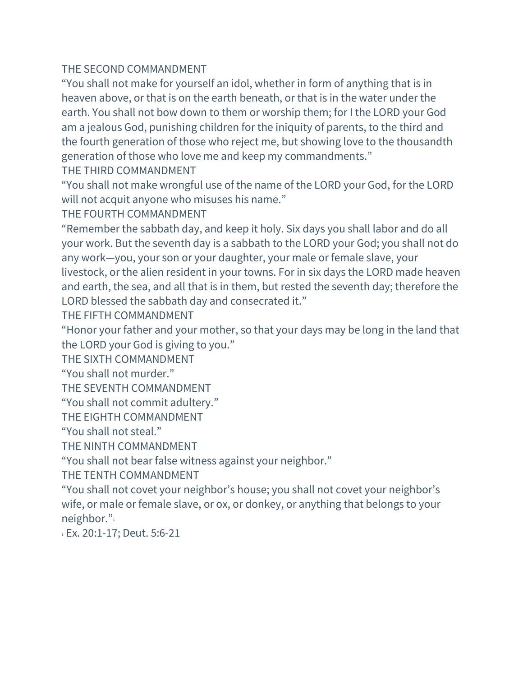#### THE SECOND COMMANDMENT

"You shall not make for yourself an idol, whether in form of anything that is in heaven above, or that is on the earth beneath, or that is in the water under the earth. You shall not bow down to them or worship them; for I the LORD your God am a jealous God, punishing children for the iniquity of parents, to the third and the fourth generation of those who reject me, but showing love to the thousandth generation of those who love me and keep my commandments."

THE THIRD COMMANDMENT

"You shall not make wrongful use of the name of the LORD your God, for the LORD will not acquit anyone who misuses his name."

THE FOURTH COMMANDMENT

"Remember the sabbath day, and keep it holy. Six days you shall labor and do all your work. But the seventh day is a sabbath to the LORD your God; you shall not do any work—you, your son or your daughter, your male or female slave, your livestock, or the alien resident in your towns. For in six days the LORD made heaven and earth, the sea, and all that is in them, but rested the seventh day; therefore the LORD blessed the sabbath day and consecrated it."

THE FIFTH COMMANDMENT

"Honor your father and your mother, so that your days may be long in the land that the LORD your God is giving to you."

THE SIXTH COMMANDMENT

"You shall not murder."

THE SEVENTH COMMANDMENT

"You shall not commit adultery."

THE EIGHTH COMMANDMENT

"You shall not steal."

THE NINTH COMMANDMENT

"You shall not bear false witness against your neighbor."

THE TENTH COMMANDMENT

"You shall not covet your neighbor's house; you shall not covet your neighbor's wife, or male or female slave, or ox, or donkey, or anything that belongs to your neighbor."

<sup>1</sup> Ex. 20:1-17; Deut. 5:6-21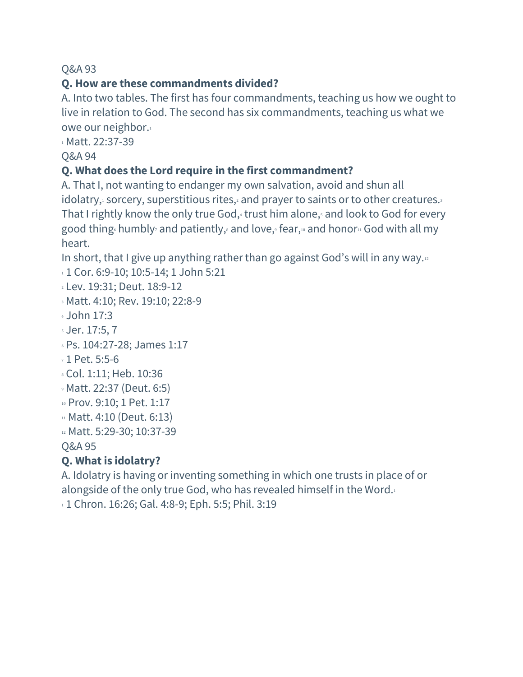## **Q. How are these commandments divided?**

A. Into two tables. The first has four commandments, teaching us how we ought to live in relation to God. The second has six commandments, teaching us what we owe our neighbor.<sup>1</sup>

1 Matt. 22:37-39

Q&A 94

## **Q. What does the Lord require in the first commandment?**

A. That I, not wanting to endanger my own salvation, avoid and shun all idolatry, $\frac{1}{2}$  sorcery, superstitious rites, $\frac{1}{2}$  and prayer to saints or to other creatures. That I rightly know the only true God, trust him alone, and look to God for every good thing humbly and patiently, and love, fear,  $\omega$  and honor  $\omega$  God with all my heart.

In short, that I give up anything rather than go against God's will in any way.<sup>12</sup>

```
1 Cor. 6:9-10; 10:5-14; 1 John 5:21
```

```
2 Lev. 19:31; Deut. 18:9-12
```

```
3 Matt. 4:10; Rev. 19:10; 22:8-9
```

```
4 John 17:3
```

```
5 Jer. 17:5, 7
```

```
6 Ps. 104:27-28; James 1:17
```
<sup>7</sup> 1 Pet. 5:5-6

```
8 Col. 1:11; Heb. 10:36
```

```
9 Matt. 22:37 (Deut. 6:5)
```

```
10 Prov. 9:10; 1 Pet. 1:17
```

```
11 Matt. 4:10 (Deut. 6:13)
```

```
12 Matt. 5:29-30; 10:37-39
```
Q&A 95

# **Q. What is idolatry?**

A. Idolatry is having or inventing something in which one trusts in place of or alongside of the only true God, who has revealed himself in the Word.<sup>1</sup> 1 1 Chron. 16:26; Gal. 4:8-9; Eph. 5:5; Phil. 3:19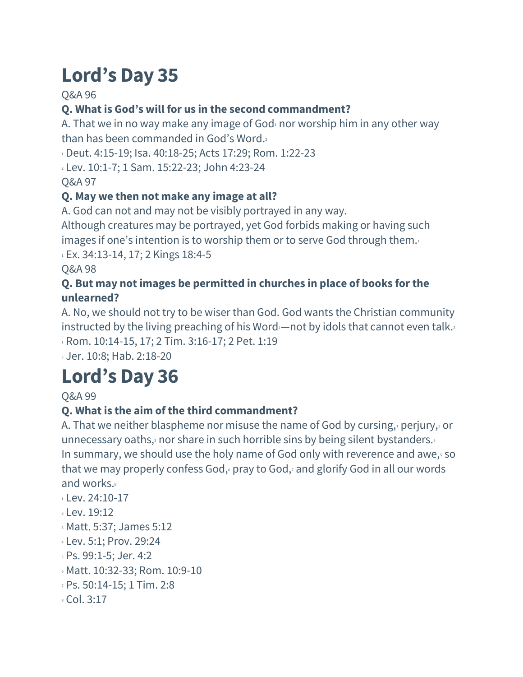Q&A 96

# **Q. What is God's will for us in the second commandment?**

A. That we in no way make any image of God $_1$  nor worship him in any other way than has been commanded in God's Word.<sup>2</sup>

<sup>1</sup> Deut. 4:15-19; Isa. 40:18-25; Acts 17:29; Rom. 1:22-23

<sup>2</sup> Lev. 10:1-7; 1 Sam. 15:22-23; John 4:23-24

Q&A 97

# **Q. May we then not make any image at all?**

A. God can not and may not be visibly portrayed in any way.

Although creatures may be portrayed, yet God forbids making or having such images if one's intention is to worship them or to serve God through them.<sup>1</sup>

<sup>1</sup> Ex. 34:13-14, 17; 2 Kings 18:4-5

Q&A 98

### **Q. But may not images be permitted in churches in place of books for the unlearned?**

A. No, we should not try to be wiser than God. God wants the Christian community instructed by the living preaching of his Word- not by idols that cannot even talk. 1 Rom. 10:14-15, 17; 2 Tim. 3:16-17; 2 Pet. 1:19

<sup>2</sup> Jer. 10:8; Hab. 2:18-20

# **Lord's Day 36**

## Q&A 99

## **Q. What is the aim of the third commandment?**

A. That we neither blaspheme nor misuse the name of God by cursing, perjury, or unnecessary oaths, $3$  nor share in such horrible sins by being silent bystanders. $4$ In summary, we should use the holy name of God only with reverence and awe, so that we may properly confess God, pray to God, and glorify God in all our words and works.<sup>8</sup>

- $1 \text{ Lev}$ . 24:10-17
- <sup>2</sup> Lev. 19:12
- <sup>3</sup> Matt. 5:37; James 5:12
- <sup>4</sup> Lev. 5:1; Prov. 29:24
- <sup>5</sup> Ps. 99:1-5; Jer. 4:2
- <sup>6</sup> Matt. 10:32-33; Rom. 10:9-10
- <sup>7</sup> Ps. 50:14-15; 1 Tim. 2:8
- <sup>8</sup> Col. 3:17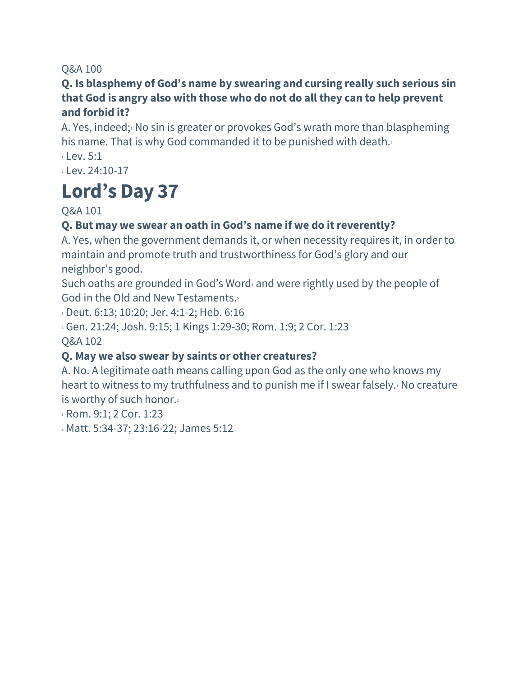#### **Q. Is blasphemy of God's name by swearing and cursing really such serious sin that God is angry also with those who do not do all they can to help prevent and forbid it?**

A. Yes, indeed; No sin is greater or provokes God's wrath more than blaspheming his name. That is why God commanded it to be punished with death.  $1$  Lev. 5:1

<sup>2</sup> Lev. 24:10-17

# **Lord's Day 37**

Q&A 101

### **Q. But may we swear an oath in God's name if we do itreverently?**

A. Yes, when the government demands it, or when necessity requires it, in order to maintain and promote truth and trustworthiness for God's glory and our neighbor's good.

Such oaths are grounded in God's Word<sup>1</sup> and were rightly used by the people of God in the Old and New Testaments.<sup>2</sup>

<sup>1</sup> Deut. 6:13; 10:20; Jer. 4:1-2; Heb. 6:16

<sup>2</sup> Gen. 21:24; Josh. 9:15; 1 Kings 1:29-30; Rom. 1:9; 2 Cor. 1:23 Q&A 102

## **Q. May we also swear by saints or other creatures?**

A. No. A legitimate oath means calling upon God as the only one who knows my heart to witness to my truthfulness and to punish me if I swear falsely.<sup>1</sup> No creature is worthy of such honor.

<sup>1</sup> Rom. 9:1; 2 Cor. 1:23

<sup>2</sup> Matt. 5:34-37; 23:16-22; James 5:12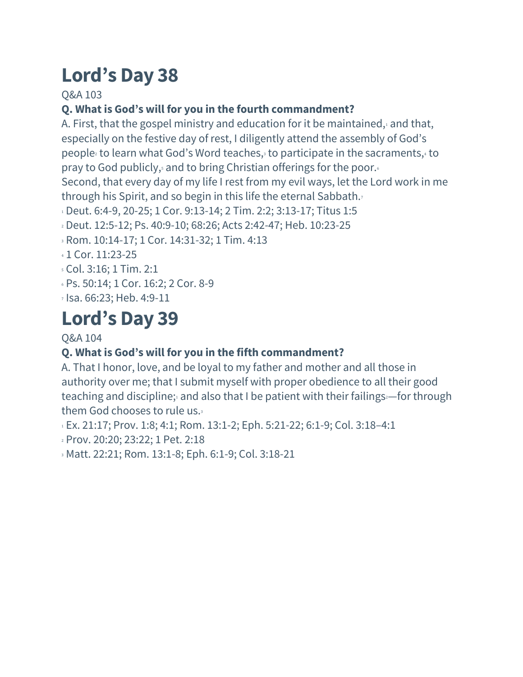Q&A 103

## **Q. What is God's will for you in the fourth commandment?**

A. First, that the gospel ministry and education for it be maintained, $1$  and that, especially on the festive day of rest, I diligently attend the assembly of God's people<sup>2</sup> to learn what God's Word teaches,<sup>3</sup> to participate in the sacraments,<sup>4</sup> to pray to God publicly, and to bring Christian offerings for the poor.

Second, that every day of my life I rest from my evil ways, let the Lord work in me through his Spirit, and so begin in this life the eternal Sabbath.<sup>7</sup>

 $11$  Deut. 6:4-9, 20-25; 1 Cor. 9:13-14; 2 Tim. 2:2; 3:13-17; Titus 1:5

<sup>2</sup> Deut. 12:5-12; Ps. 40:9-10; 68:26; Acts 2:42-47; Heb. 10:23-25

<sup>3</sup> Rom. 10:14-17; 1 Cor. 14:31-32; 1 Tim. 4:13

- <sup>4</sup> 1 Cor. 11:23-25
- <sup>5</sup> Col. 3:16; 1 Tim. 2:1
- <sup>6</sup> Ps. 50:14; 1 Cor. 16:2; 2 Cor. 8-9
- <sup>7</sup> Isa. 66:23; Heb. 4:9-11

# **Lord's Day 39**

#### Q&A 104

## **Q. What is God's will for you in the fifth commandment?**

A. That I honor, love, and be loyal to my father and mother and all those in authority over me; that I submit myself with proper obedience to all their good teaching and discipline; and also that I be patient with their failings—for through them God chooses to rule us.

1 Ex. 21:17; Prov. 1:8; 4:1; Rom. 13:1-2; Eph. 5:21-22; 6:1-9; Col. 3:18-4:1

<sup>2</sup> Prov. 20:20; 23:22; 1 Pet. 2:18

<sup>3</sup> Matt. 22:21; Rom. 13:1-8; Eph. 6:1-9; Col. 3:18-21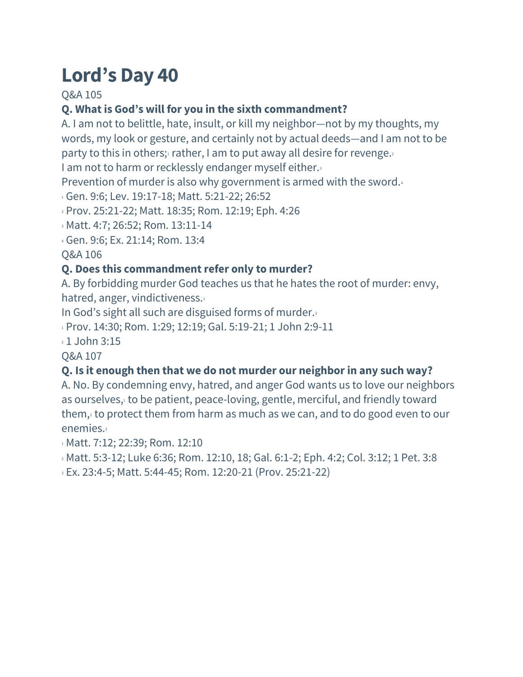Q&A 105

## **Q. What is God's will for you in the sixth commandment?**

A. I am not to belittle, hate, insult, or kill my neighbor—not by my thoughts, my words, my look or gesture, and certainly not by actual deeds—and I am not to be party to this in others; rather, I am to put away all desire for revenge.

I am not to harm or recklessly endanger myself either.3

Prevention of murder is also why government is armed with the sword.4

<sup>1</sup> Gen. 9:6; Lev. 19:17-18; Matt. 5:21-22; 26:52

<sup>2</sup> Prov. 25:21-22; Matt. 18:35; Rom. 12:19; Eph. 4:26

<sup>3</sup> Matt. 4:7; 26:52; Rom. 13:11-14

<sup>4</sup> Gen. 9:6; Ex. 21:14; Rom. 13:4

Q&A 106

#### **Q. Does this commandmentrefer only to murder?**

A. By forbidding murder God teaches us that he hates the root of murder: envy, hatred, anger, vindictiveness.<sup>1</sup>

In God's sight all such are disguised forms of murder.

1 Prov. 14:30; Rom. 1:29; 12:19; Gal. 5:19-21; 1 John 2:9-11

<sup>2</sup> 1 John 3:15

Q&A 107

#### **Q. Is it enough then that we do not murder our neighbor in any such way?**

A. No. By condemning envy, hatred, and anger God wants us to love our neighbors as ourselves, to be patient, peace-loving, gentle, merciful, and friendly toward them,<sup>2</sup> to protect them from harm as much as we can, and to do good even to our enemies.<sup>3</sup>

1 Matt. 7:12; 22:39; Rom. 12:10

<sup>2</sup> Matt. 5:3-12; Luke 6:36; Rom. 12:10, 18; Gal. 6:1-2; Eph. 4:2; Col. 3:12; 1 Pet. 3:8

<sup>3</sup> Ex. 23:4-5; Matt. 5:44-45; Rom. 12:20-21 (Prov. 25:21-22)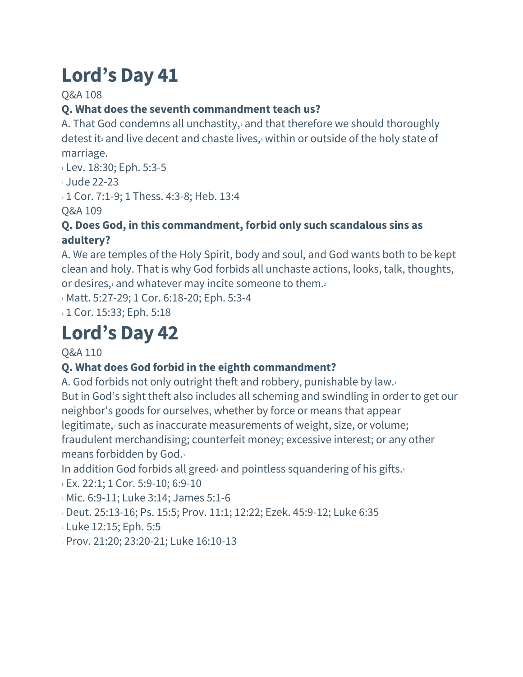Q&A 108

# **Q. What does the seventh commandment teach us?**

A. That God condemns all unchastity, and that therefore we should thoroughly detest it<sup>2</sup> and live decent and chaste lives,<sup>3</sup> within or outside of the holy state of marriage.

<sup>1</sup> Lev. 18:30; Eph. 5:3-5

<sup>2</sup> Jude 22-23

**1 Cor. 7:1-9; 1 Thess. 4:3-8; Heb. 13:4** 

Q&A 109

## **Q. Does God, in this commandment, forbid only such scandalous sins as adultery?**

A. We are temples of the Holy Spirit, body and soul, and God wants both to be kept clean and holy. That is why God forbids all unchaste actions, looks, talk, thoughts, or desires, $1$  and whatever may incite someone to them.

1 Matt. 5:27-29; 1 Cor. 6:18-20; Eph. 5:3-4

<sup>2</sup> 1 Cor. 15:33; Eph. 5:18

# **Lord's Day 42**

## Q&A 110

# **Q. What does God forbid in the eighth commandment?**

A. God forbids not only outright theft and robbery, punishable by law.<sup>1</sup> But in God's sight theft also includes all scheming and swindling in order to get our neighbor's goods for ourselves, whether by force or means that appear legitimate, such as inaccurate measurements of weight, size, or volume; fraudulent merchandising; counterfeit money; excessive interest; or any other means forbidden by God.<sup>3</sup>

In addition God forbids all greed<sup>4</sup> and pointless squandering of his gifts.<sup>5</sup>

 $1 \text{ Ex. } 22:1$ ; 1 Cor. 5:9-10; 6:9-10

<sup>2</sup> Mic. 6:9-11; Luke 3:14; James 5:1-6

<sup>3</sup> Deut. 25:13-16; Ps. 15:5; Prov. 11:1; 12:22; Ezek. 45:9-12; Luke 6:35

<sup>4</sup> Luke 12:15; Eph. 5:5

<sup>5</sup> Prov. 21:20; 23:20-21; Luke 16:10-13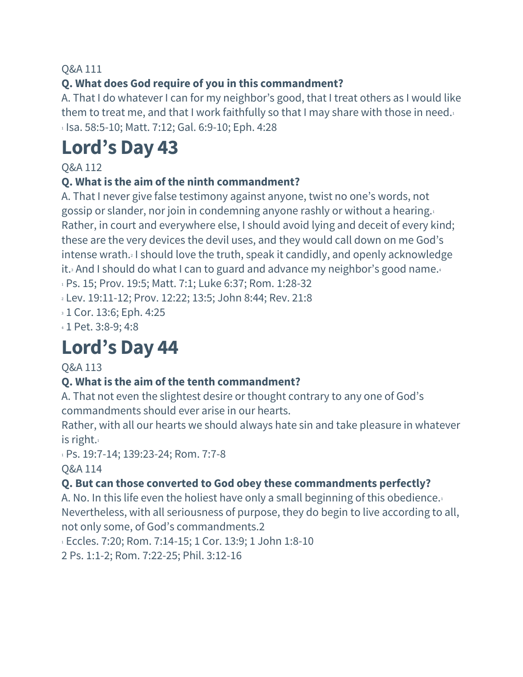## **Q. What does God require of you in this commandment?**

A. That I do whatever I can for my neighbor's good, that I treat others as I would like them to treat me, and that I work faithfully so that I may share with those in need. $1$ <sup>1</sup> Isa. 58:5-10; Matt. 7:12; Gal. 6:9-10; Eph. 4:28

# **Lord's Day 43**

Q&A 112

#### **Q. What is the aim of the ninth commandment?**

A. That I never give false testimony against anyone, twist no one's words, not gossip or slander, nor join in condemning anyone rashly or without a hearing.<sup>1</sup> Rather, in court and everywhere else, I should avoid lying and deceit of every kind; these are the very devices the devil uses, and they would call down on me God's intense wrath.<sup>2</sup> I should love the truth, speak it candidly, and openly acknowledge it.<sup>3</sup> And I should do what I can to guard and advance my neighbor's good name.<sup>4</sup>

<sup>1</sup> Ps. 15; Prov. 19:5; Matt. 7:1; Luke 6:37; Rom. 1:28-32

<sup>2</sup> Lev. 19:11-12; Prov. 12:22; 13:5; John 8:44; Rev. 21:8

<sup>3</sup> 1 Cor. 13:6; Eph. 4:25

<sup>4</sup> 1 Pet. 3:8-9; 4:8

# **Lord's Day 44**

#### Q&A 113

#### **Q. What is the aim of the tenth commandment?**

A. That not even the slightest desire or thought contrary to any one of God's commandments should ever arise in our hearts.

Rather, with all our hearts we should always hate sin and take pleasure in whatever is right. $1$ 

1 Ps. 19:7-14; 139:23-24; Rom. 7:7-8

Q&A 114

#### **Q. But can those converted to God obey these commandments perfectly?**

A. No. In this life even the holiest have only a small beginning of this obedience. Nevertheless, with all seriousness of purpose, they do begin to live according to all, not only some, of God's commandments.2

<sup>1</sup> Eccles. 7:20; Rom. 7:14-15; 1 Cor. 13:9; 1 John 1:8-10

2 Ps. 1:1-2; Rom. 7:22-25; Phil. 3:12-16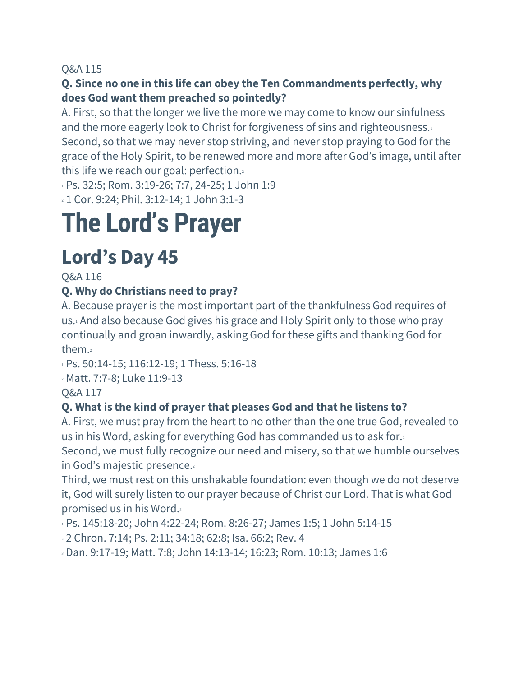#### **Q. Since no one in this life can obey the Ten Commandments perfectly, why does God want them preached so pointedly?**

A. First, so that the longer we live the more we may come to know our sinfulness and the more eagerly look to Christ for forgiveness of sins and righteousness.<sup>1</sup> Second, so that we may never stop striving, and never stop praying to God for the grace of the Holy Spirit, to be renewed more and more after God's image, until after this life we reach our goal: perfection.

1 Ps. 32:5; Rom. 3:19-26; 7:7, 24-25; 1 John 1:9

<sup>2</sup> 1 Cor. 9:24; Phil. 3:12-14; 1 John 3:1-3

# **The Lord's Prayer**

# **Lord's Day 45**

Q&A 116

## **Q. Why do Christians need to pray?**

A. Because prayer is the most important part of the thankfulness God requires of us.<sup>1</sup> And also because God gives his grace and Holy Spirit only to those who pray continually and groan inwardly, asking God for these gifts and thanking God for them.<sup>2</sup>

1 Ps. 50:14-15; 116:12-19; 1 Thess. 5:16-18

<sup>2</sup> Matt. 7:7-8; Luke 11:9-13

Q&A 117

## **Q. What is the kind of prayer that pleases God and that he listens to?**

A. First, we must pray from the heart to no other than the one true God, revealed to us in his Word, asking for everything God has commanded us to ask for.<sup>1</sup>

Second, we must fully recognize our need and misery, so that we humble ourselves in God's majestic presence.

Third, we must rest on this unshakable foundation: even though we do not deserve it, God will surely listen to our prayer because of Christ our Lord. That is what God promised us in his Word.<sup>3</sup>

<sup>1</sup> Ps. 145:18-20; John 4:22-24; Rom. 8:26-27; James 1:5; 1 John 5:14-15

<sup>2</sup> 2 Chron. 7:14; Ps. 2:11; 34:18; 62:8; Isa. 66:2; Rev. 4

<sup>3</sup> Dan. 9:17-19; Matt. 7:8; John 14:13-14; 16:23; Rom. 10:13; James 1:6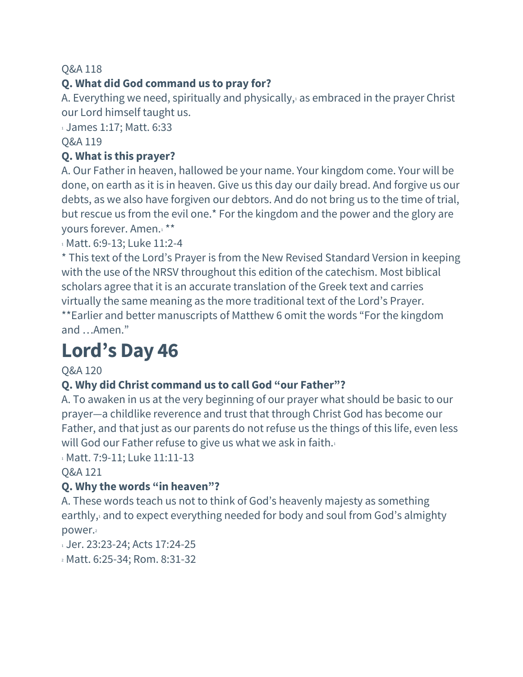## **Q. What did God command us to pray for?**

A. Everything we need, spiritually and physically, $\alpha$  as embraced in the prayer Christ our Lord himself taught us.

<sup>1</sup> James 1:17; Matt. 6:33

#### Q&A 119

#### **Q. What is this prayer?**

A. Our Father in heaven, hallowed be your name. Your kingdom come. Your will be done, on earth as it is in heaven. Give us this day our daily bread. And forgive us our debts, as we also have forgiven our debtors. And do not bring us to the time of trial, but rescue us from the evil one.\* For the kingdom and the power and the glory are yours forever. Amen.<sup>1</sup> \*\*

1 Matt. 6:9-13; Luke 11:2-4

\* This text of the Lord's Prayer is from the New Revised Standard Version in keeping with the use of the NRSV throughout this edition of the catechism. Most biblical scholars agree that it is an accurate translation of the Greek text and carries virtually the same meaning as the more traditional text of the Lord's Prayer. \*\*Earlier and better manuscripts of Matthew 6 omit the words "For the kingdom and …Amen."

# **Lord's Day 46**

#### Q&A 120

#### **Q. Why did Christ command us to call God "our Father"?**

A. To awaken in us at the very beginning of our prayer what should be basic to our prayer—a childlike reverence and trust that through Christ God has become our Father, and that just as our parents do not refuse us the things of this life, even less will God our Father refuse to give us what we ask in faith.<sup>1</sup>

1 Matt. 7:9-11; Luke 11:11-13

Q&A 121

#### **Q. Why the words "in heaven"?**

A. These words teach us not to think of God's heavenly majesty as something earthly, and to expect everything needed for body and soul from God's almighty power.

1 Jer. 23:23-24; Acts 17:24-25

<sup>2</sup> Matt. 6:25-34; Rom. 8:31-32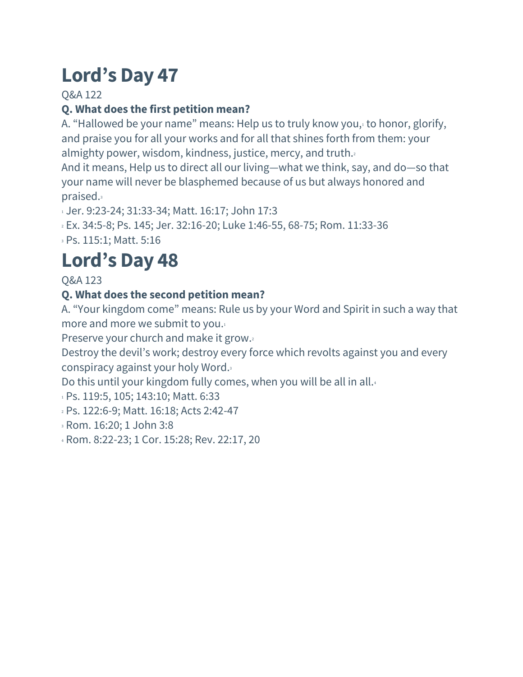Q&A 122

# **Q. What does the first petition mean?**

A. "Hallowed be your name" means: Help us to truly know you, to honor, glorify, and praise you for all your works and for all that shines forth from them: your almighty power, wisdom, kindness, justice, mercy, and truth.

And it means, Help us to direct all our living—what we think, say, and do—so that your name will never be blasphemed because of us but always honored and praised.<sup>3</sup>

<sup>1</sup> Jer. 9:23-24; 31:33-34; Matt. 16:17; John 17:3

<sup>2</sup> Ex. 34:5-8; Ps. 145; Jer. 32:16-20; Luke 1:46-55, 68-75; Rom. 11:33-36

<sup>3</sup> Ps. 115:1; Matt. 5:16

# **Lord's Day 48**

Q&A 123

## **Q. What does the second petition mean?**

A. "Your kingdom come" means: Rule us by your Word and Spirit in such a way that more and more we submit to you.<sup>1</sup>

Preserve your church and make it grow.

Destroy the devil's work; destroy every force which revolts against you and every conspiracy against your holy Word.<sup>3</sup>

Do this until your kingdom fully comes, when you will be all in all.

<sup>1</sup> Ps. 119:5, 105; 143:10; Matt. 6:33

- <sup>2</sup> Ps. 122:6-9; Matt. 16:18; Acts 2:42-47
- <sup>3</sup> Rom. 16:20; 1 John 3:8

<sup>4</sup> Rom. 8:22-23; 1 Cor. 15:28; Rev. 22:17, 20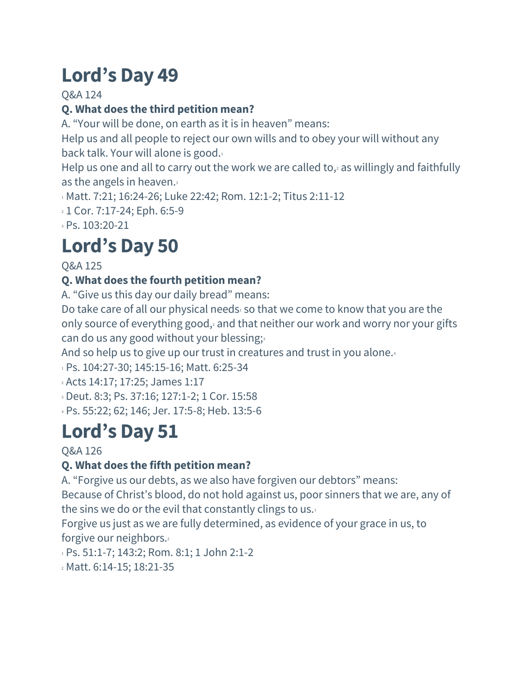Q&A 124

# **Q. What does the third petition mean?**

A. "Your will be done, on earth as it is in heaven" means:

Help us and all people to reject our own wills and to obey your will without any back talk. Your will alone is good.<sup>1</sup>

Help us one and all to carry out the work we are called to, $2$  as willingly and faithfully as the angels in heaven. $\frac{3}{2}$ 

1 Matt. 7:21; 16:24-26; Luke 22:42; Rom. 12:1-2; Titus 2:11-12

<sup>2</sup> 1 Cor. 7:17-24; Eph. 6:5-9

<sup>3</sup> Ps. 103:20-21

# **Lord's Day 50**

Q&A 125

# **Q. What does the fourth petition mean?**

A. "Give us this day our daily bread" means:

Do take care of all our physical needs $\iota$  so that we come to know that you are the only source of everything good, $2$  and that neither our work and worry nor your gifts can do us any good without your blessing; $\frac{3}{5}$ 

And so help us to give up our trust in creatures and trust in you alone.<sup>4</sup>

<sup>1</sup> Ps. 104:27-30; 145:15-16; Matt. 6:25-34

<sup>2</sup> Acts 14:17; 17:25; James 1:17

<sup>3</sup> Deut. 8:3; Ps. 37:16; 127:1-2; 1 Cor. 15:58

<sup>4</sup> Ps. 55:22; 62; 146; Jer. 17:5-8; Heb. 13:5-6

# **Lord's Day 51**

## Q&A 126

# **Q. What does the fifth petition mean?**

A. "Forgive us our debts, as we also have forgiven our debtors" means: Because of Christ's blood, do not hold against us, poor sinners that we are, any of the sins we do or the evil that constantly clings to us.

Forgive us just as we are fully determined, as evidence of your grace in us, to forgive our neighbors.<sup>2</sup>

1 Ps. 51:1-7; 143:2; Rom. 8:1; 1 John 2:1-2

<sup>2</sup> Matt. 6:14-15; 18:21-35